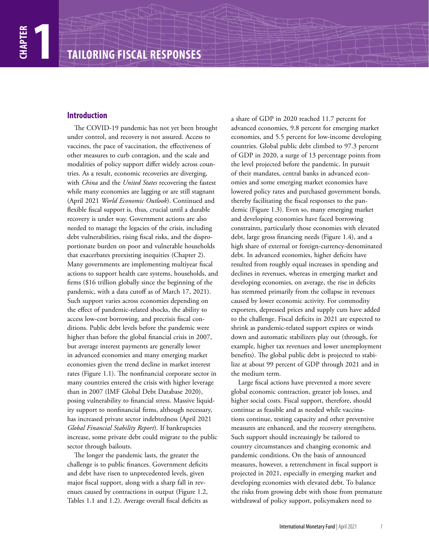# **Introduction**

The COVID-19 pandemic has not yet been brought under control, and recovery is not assured. Access to vaccines, the pace of vaccination, the effectiveness of other measures to curb contagion, and the scale and modalities of policy support differ widely across countries. As a result, economic recoveries are diverging, with *China* and the *United States* recovering the fastest while many economies are lagging or are still stagnant (April 2021 *World Economic Outlook*). Continued and flexible fiscal support is, thus, crucial until a durable recovery is under way. Government actions are also needed to manage the legacies of the crisis, including debt vulnerabilities, rising fiscal risks, and the disproportionate burden on poor and vulnerable households that exacerbates preexisting inequities (Chapter 2). Many governments are implementing multiyear fiscal actions to support health care systems, households, and firms (\$16 trillion globally since the beginning of the pandemic, with a data cutoff as of March 17, 2021). Such support varies across economies depending on the effect of pandemic-related shocks, the ability to access low-cost borrowing, and precrisis fiscal conditions. Public debt levels before the pandemic were higher than before the global financial crisis in 2007, but average interest payments are generally lower in advanced economies and many emerging market economies given the trend decline in market interest rates (Figure 1.1). The nonfinancial corporate sector in many countries entered the crisis with higher leverage than in 2007 (IMF Global Debt Database 2020), posing vulnerability to financial stress. Massive liquidity support to nonfinancial firms, although necessary, has increased private sector indebtedness (April 2021 *Global Financial Stability Report*). If bankruptcies increase, some private debt could migrate to the public sector through bailouts.

The longer the pandemic lasts, the greater the challenge is to public finances. Government deficits and debt have risen to unprecedented levels, given major fiscal support, along with a sharp fall in revenues caused by contractions in output (Figure 1.2, Tables 1.1 and 1.2). Average overall fiscal deficits as

a share of GDP in 2020 reached 11.7 percent for advanced economies, 9.8 percent for emerging market economies, and 5.5 percent for low-income developing countries. Global public debt climbed to 97.3 percent of GDP in 2020, a surge of 13 percentage points from the level projected before the pandemic. In pursuit of their mandates, central banks in advanced economies and some emerging market economies have lowered policy rates and purchased government bonds, thereby facilitating the fiscal responses to the pandemic (Figure 1.3). Even so, many emerging market and developing economies have faced borrowing constraints, particularly those economies with elevated debt, large gross financing needs (Figure 1.4), and a high share of external or foreign-currency-denominated debt. In advanced economies, higher deficits have resulted from roughly equal increases in spending and declines in revenues, whereas in emerging market and developing economies, on average, the rise in deficits has stemmed primarily from the collapse in revenues caused by lower economic activity. For commodity exporters, depressed prices and supply cuts have added to the challenge. Fiscal deficits in 2021 are expected to shrink as pandemic-related support expires or winds down and automatic stabilizers play out (through, for example, higher tax revenues and lower unemployment benefits). The global public debt is projected to stabilize at about 99 percent of GDP through 2021 and in the medium term.

Large fiscal actions have prevented a more severe global economic contraction, greater job losses, and higher social costs. Fiscal support, therefore, should continue as feasible and as needed while vaccinations continue, testing capacity and other preventive measures are enhanced, and the recovery strengthens. Such support should increasingly be tailored to country circumstances and changing economic and pandemic conditions. On the basis of announced measures, however, a retrenchment in fiscal support is projected in 2021, especially in emerging market and developing economies with elevated debt. To balance the risks from growing debt with those from premature withdrawal of policy support, policymakers need to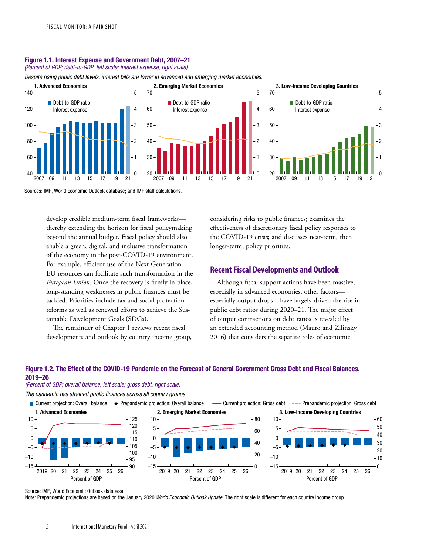# Figure 1.1. Interest Expense and Government Debt, 2007–21

*(Percent of GDP; debt-to-GDP, left scale; interest expense, right scale)*

*Despite rising public debt levels, interest bills are lower in advanced and emerging market economies.*





Sources: IMF, World Economic Outlook database; and IMF staff calculations.

develop credible medium-term fiscal frameworks thereby extending the horizon for fiscal policymaking beyond the annual budget. Fiscal policy should also enable a green, digital, and inclusive transformation of the economy in the post-COVID-19 environment. For example, efficient use of the Next Generation EU resources can facilitate such transformation in the *European Union*. Once the recovery is firmly in place, long-standing weaknesses in public finances must be tackled. Priorities include tax and social protection reforms as well as renewed efforts to achieve the Sustainable Development Goals (SDGs).

The remainder of Chapter 1 reviews recent fiscal developments and outlook by country income group, considering risks to public finances; examines the effectiveness of discretionary fiscal policy responses to the COVID-19 crisis; and discusses near-term, then longer-term, policy priorities.

# **Recent Fiscal Developments and Outlook**

Although fiscal support actions have been massive, especially in advanced economies, other factors especially output drops—have largely driven the rise in public debt ratios during 2020–21. The major effect of output contractions on debt ratios is revealed by an extended accounting method (Mauro and Zilinsky 2016) that considers the separate roles of economic

# Figure 1.2. The Effect of the COVID-19 Pandemic on the Forecast of General Government Gross Debt and Fiscal Balances, 2019–26

(Percent of GDP; overall balance, left scale; gross debt, right scale)

The pandemic has strained public finances across all country groups.

■ Current projection: Overall balance ◆ Prepandemic projection: Overall balance — Current projection: Gross debt --- Prepandemic projection: Gross debt



Source: IMF, World Economic Outlook database.

Note: Prepandemic projections are based on the January 2020 World Economic Outlook Update. The right scale is different for each country income group.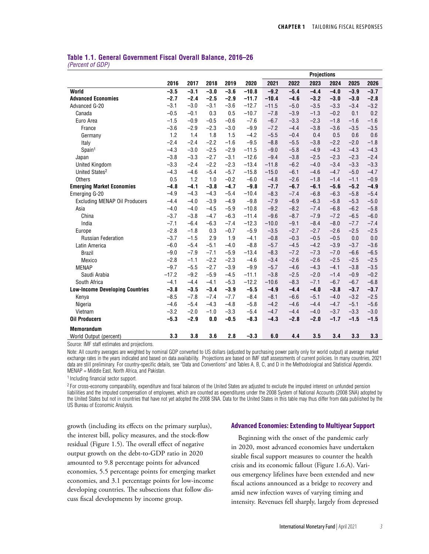# **Table 1.1. General Government Fiscal Overall Balance, 2016–26**

*(Percent of GDP)*

|                                        |         |        |        |        |         | <b>Projections</b> |        |        |        |        |        |  |
|----------------------------------------|---------|--------|--------|--------|---------|--------------------|--------|--------|--------|--------|--------|--|
|                                        | 2016    | 2017   | 2018   | 2019   | 2020    | 2021               | 2022   | 2023   | 2024   | 2025   | 2026   |  |
| World                                  | $-3.5$  | $-3.1$ | $-3.0$ | $-3.6$ | $-10.8$ | $-9.2$             | $-5.4$ | $-4.4$ | $-4.0$ | $-3.9$ | $-3.7$ |  |
| <b>Advanced Economies</b>              | $-2.7$  | $-2.4$ | $-2.5$ | $-2.9$ | $-11.7$ | $-10.4$            | $-4.6$ | $-3.2$ | $-3.0$ | $-3.0$ | $-2.8$ |  |
| Advanced G-20                          | $-3.1$  | $-3.0$ | $-3.1$ | $-3.6$ | $-12.7$ | $-11.5$            | $-5.0$ | $-3.5$ | $-3.3$ | $-3.4$ | $-3.2$ |  |
| Canada                                 | $-0.5$  | $-0.1$ | 0.3    | 0.5    | $-10.7$ | $-7.8$             | $-3.9$ | $-1.3$ | $-0.2$ | 0.1    | 0.2    |  |
| Euro Area                              | $-1.5$  | $-0.9$ | $-0.5$ | $-0.6$ | $-7.6$  | $-6.7$             | $-3.3$ | $-2.3$ | $-1.8$ | $-1.6$ | $-1.6$ |  |
| France                                 | $-3.6$  | $-2.9$ | $-2.3$ | $-3.0$ | $-9.9$  | $-7.2$             | $-4.4$ | $-3.8$ | $-3.6$ | $-3.5$ | $-3.5$ |  |
| Germany                                | 1.2     | 1.4    | 1.8    | 1.5    | $-4.2$  | $-5.5$             | $-0.4$ | 0.4    | 0.5    | 0.6    | 0.6    |  |
| Italy                                  | $-2.4$  | $-2.4$ | $-2.2$ | $-1.6$ | $-9.5$  | $-8.8$             | $-5.5$ | $-3.8$ | $-2.2$ | $-2.0$ | $-1.8$ |  |
| Spain <sup>1</sup>                     | $-4.3$  | $-3.0$ | $-2.5$ | $-2.9$ | $-11.5$ | $-9.0$             | $-5.8$ | $-4.9$ | $-4.3$ | $-4.3$ | $-4.3$ |  |
| Japan                                  | $-3.8$  | $-3.3$ | $-2.7$ | $-3.1$ | $-12.6$ | $-9.4$             | $-3.8$ | $-2.5$ | $-2.3$ | $-2.3$ | $-2.4$ |  |
| <b>United Kingdom</b>                  | $-3.3$  | $-2.4$ | $-2.2$ | $-2.3$ | $-13.4$ | $-11.8$            | $-6.2$ | $-4.0$ | $-3.4$ | $-3.3$ | $-3.3$ |  |
| United States <sup>2</sup>             | $-4.3$  | $-4.6$ | $-5.4$ | $-5.7$ | $-15.8$ | $-15.0$            | $-6.1$ | $-4.6$ | $-4.7$ | $-5.0$ | $-4.7$ |  |
| <b>Others</b>                          | 0.5     | 1.2    | 1.0    | $-0.2$ | $-6.0$  | $-4.8$             | $-2.6$ | $-1.8$ | $-1.4$ | $-1.1$ | $-0.9$ |  |
| <b>Emerging Market Economies</b>       | $-4.8$  | $-4.1$ | $-3.8$ | $-4.7$ | $-9.8$  | $-7.7$             | $-6.7$ | $-6.1$ | $-5.6$ | $-5.2$ | $-4.9$ |  |
| Emerging G-20                          | $-4.9$  | $-4.3$ | $-4.3$ | $-5.4$ | $-10.4$ | $-8.3$             | $-7.4$ | $-6.8$ | $-6.3$ | $-5.8$ | $-5.4$ |  |
| <b>Excluding MENAP Oil Producers</b>   | $-4.4$  | $-4.0$ | $-3.9$ | $-4.9$ | $-9.8$  | $-7.9$             | $-6.9$ | $-6.3$ | $-5.8$ | $-5.3$ | $-5.0$ |  |
| Asia                                   | $-4.0$  | $-4.0$ | $-4.5$ | $-5.9$ | $-10.8$ | $-9.2$             | $-8.2$ | $-7.4$ | $-6.8$ | $-6.2$ | $-5.8$ |  |
| China                                  | $-3.7$  | $-3.8$ | $-4.7$ | $-6.3$ | $-11.4$ | $-9.6$             | $-8.7$ | $-7.9$ | $-7.2$ | $-6.5$ | $-6.0$ |  |
| India                                  | $-7.1$  | $-6.4$ | $-6.3$ | $-7.4$ | $-12.3$ | $-10.0$            | $-9.1$ | $-8.4$ | $-8.0$ | $-7.7$ | $-7.4$ |  |
| Europe                                 | $-2.8$  | $-1.8$ | 0.3    | $-0.7$ | $-5.9$  | $-3.5$             | $-2.7$ | $-2.7$ | $-2.6$ | $-2.5$ | $-2.5$ |  |
| <b>Russian Federation</b>              | $-3.7$  | $-1.5$ | 2.9    | 1.9    | $-4.1$  | $-0.8$             | $-0.3$ | $-0.5$ | $-0.5$ | 0.0    | 0.0    |  |
| Latin America                          | $-6.0$  | $-5.4$ | $-5.1$ | $-4.0$ | $-8.8$  | $-5.7$             | $-4.5$ | $-4.2$ | $-3.9$ | $-3.7$ | $-3.6$ |  |
| <b>Brazil</b>                          | $-9.0$  | $-7.9$ | $-7.1$ | $-5.9$ | $-13.4$ | $-8.3$             | $-7.2$ | $-7.3$ | $-7.0$ | $-6.6$ | $-6.5$ |  |
| Mexico                                 | $-2.8$  | $-1.1$ | $-2.2$ | $-2.3$ | $-4.6$  | $-3.4$             | $-2.6$ | $-2.6$ | $-2.5$ | $-2.5$ | $-2.5$ |  |
| <b>MENAP</b>                           | $-9.7$  | $-5.5$ | $-2.7$ | $-3.9$ | $-9.9$  | $-5.7$             | $-4.6$ | $-4.3$ | $-4.1$ | $-3.8$ | $-3.5$ |  |
| Saudi Arabia                           | $-17.2$ | $-9.2$ | $-5.9$ | $-4.5$ | $-11.1$ | $-3.8$             | $-2.5$ | $-2.0$ | $-1.4$ | $-0.9$ | $-0.2$ |  |
| South Africa                           | $-4.1$  | $-4.4$ | $-4.1$ | $-5.3$ | $-12.2$ | $-10.6$            | $-8.3$ | $-7.1$ | $-6.7$ | $-6.7$ | $-6.8$ |  |
| <b>Low-Income Developing Countries</b> | $-3.8$  | $-3.5$ | $-3.4$ | $-3.9$ | $-5.5$  | $-4.9$             | $-4.4$ | $-4.0$ | $-3.8$ | $-3.7$ | $-3.7$ |  |
| Kenya                                  | $-8.5$  | $-7.8$ | $-7.4$ | $-7.7$ | $-8.4$  | $-8.1$             | $-6.6$ | $-5.1$ | $-4.0$ | $-3.2$ | $-2.5$ |  |
| Nigeria                                | $-4.6$  | $-5.4$ | $-4.3$ | $-4.8$ | $-5.8$  | $-4.2$             | $-4.6$ | $-4.4$ | $-4.7$ | $-5.1$ | $-5.6$ |  |
| Vietnam                                | $-3.2$  | $-2.0$ | $-1.0$ | $-3.3$ | $-5.4$  | $-4.7$             | $-4.4$ | $-4.0$ | $-3.7$ | $-3.3$ | $-3.0$ |  |
| <b>Oil Producers</b>                   | $-5.3$  | $-2.9$ | 0.0    | $-0.5$ | $-8.3$  | $-4.3$             | $-2.8$ | $-2.0$ | $-1.7$ | $-1.5$ | $-1.5$ |  |
| <b>Memorandum</b>                      |         |        |        |        |         |                    |        |        |        |        |        |  |
| World Output (percent)                 | 3.3     | 3.8    | 3.6    | 2.8    | $-3.3$  | 6.0                | 4.4    | 3.5    | 3.4    | 3.3    | 3.3    |  |

Source: IMF staff estimates and projections.

Note: All country averages are weighted by nominal GDP converted to US dollars (adjusted by purchasing power parity only for world output) at average market exchange rates in the years indicated and based on data availability. Projections are based on IMF staff assessments of current policies. In many countries, 2021 data are still preliminary. For country-specific details, see "Data and Conventions" and Tables A, B, C, and D in the Methodological and Statistical Appendix. MENAP = Middle East, North Africa, and Pakistan.

1 Including financial sector support.

2 For cross-economy comparability, expenditure and fiscal balances of the United States are adjusted to exclude the imputed interest on unfunded pension liabilities and the imputed compensation of employees, which are counted as expenditures under the 2008 System of National Accounts (2008 SNA) adopted by the United States but not in countries that have not yet adopted the 2008 SNA. Data for the United States in this table may thus differ from data published by the US Bureau of Economic Analysis.

growth (including its effects on the primary surplus), the interest bill, policy measures, and the stock-flow residual (Figure 1.5). The overall effect of negative output growth on the debt-to-GDP ratio in 2020 amounted to 9.8 percentage points for advanced economies, 5.5 percentage points for emerging market economies, and 3.1 percentage points for low-income developing countries. The subsections that follow discuss fiscal developments by income group.

#### **Advanced Economies: Extending to Multiyear Support**

Beginning with the onset of the pandemic early in 2020, most advanced economies have undertaken sizable fiscal support measures to counter the health crisis and its economic fallout (Figure 1.6.A). Various emergency lifelines have been extended and new fiscal actions announced as a bridge to recovery and amid new infection waves of varying timing and intensity. Revenues fell sharply, largely from depressed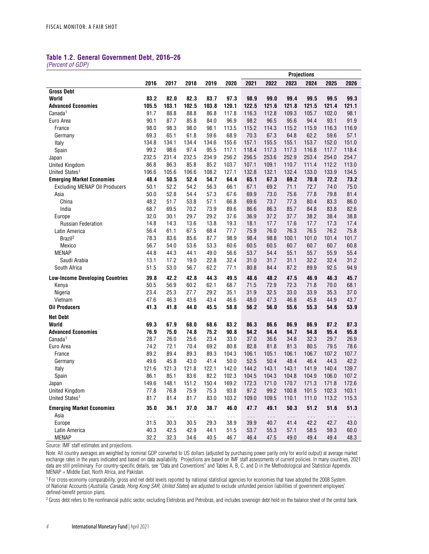# **Table 1.2. General Government Debt, 2016–26**

*(Percent of GDP)*

|                                        |               |               |               |               |               | <b>Projections</b> |              |               |               |              |              |  |
|----------------------------------------|---------------|---------------|---------------|---------------|---------------|--------------------|--------------|---------------|---------------|--------------|--------------|--|
|                                        | 2016          | 2017          | 2018          | 2019          | 2020          | 2021               | 2022         | 2023          | 2024          | 2025         | 2026         |  |
| <b>Gross Debt</b>                      |               |               |               |               |               |                    |              |               |               |              |              |  |
| World                                  | 83.2          | 82.0          | 82.3          | 83.7          | 97.3          | 98.9               | 99.0         | 99.4          | 99.5          | 99.5         | 99.3         |  |
| <b>Advanced Economies</b>              | 105.5         | 103.1         | 102.5         | 103.8         | 120.1         | 122.5              | 121.6        | 121.8         | 121.5         | 121.4        | 121.1        |  |
| Canada <sup>1</sup>                    | 91.7          | 88.8          | 88.8          | 86.8          | 117.8         | 116.3              | 112.8        | 109.3         | 105.7         | 102.0        | 98.1         |  |
| Euro Area                              | 90.1          | 87.7          | 85.8          | 84.0          | 96.9          | 98.2               | 96.5         | 95.6          | 94.4          | 93.1         | 91.9         |  |
| France                                 | 98.0          | 98.3          | 98.0          | 98.1          | 113.5         | 115.2              | 114.3        | 115.2         | 115.9         | 116.3        | 116.9        |  |
| Germany                                | 69.3          | 65.1          | 61.8          | 59.6          | 68.9          | 70.3               | 67.3         | 64.8          | 62.2          | 59.6         | 57.1         |  |
| Italy                                  | 134.8         | 134.1         | 134.4         | 134.6         | 155.6         | 157.1              | 155.5        | 155.1         | 153.7         | 152.0        | 151.0        |  |
| Spain                                  | 99.2          | 98.6          | 97.4          | 95.5          | 117.1         | 118.4              | 117.3        | 117.3         | 116.8         | 117.7        | 118.4        |  |
| Japan                                  | 232.5         | 231.4         | 232.5         | 234.9         | 256.2         | 256.5              | 253.6        | 252.9         | 253.4         | 254.0        | 254.7        |  |
| <b>United Kingdom</b>                  | 86.8          | 86.3          | 85.8          | 85.2          | 103.7         | 107.1              | 109.1        | 110.7         | 111.4         | 112.2        | 113.0        |  |
| United States <sup>1</sup>             | 106.6         | 105.6         | 106.6         | 108.2         | 127.1         | 132.8              | 132.1        | 132.4         | 133.0         | 133.9        | 134.5        |  |
| <b>Emerging Market Economies</b>       | 48.4          | 50.5          | 52.4          | 54.7          | 64.4          | 65.1               | 67.3         | 69.2          | 70.8          | 72.2         | 73.2         |  |
| <b>Excluding MENAP Oil Producers</b>   | 50.1          | 52.2          | 54.2          | 56.3          | 66.1          | 67.1               | 69.2         | 71.1          | 72.7          | 74.0         | 75.0         |  |
| Asia                                   | 50.0          | 52.8          | 54.4          | 57.3          | 67.6          | 69.9               | 73.0         | 75.6          | 77.8          | 79.8         | 81.4         |  |
| China                                  | 48.2          | 51.7          | 53.8          | 57.1          | 66.8          | 69.6               | 73.7         | 77.3          | 80.4          | 83.3         | 86.0         |  |
| India                                  | 68.7          | 69.5          | 70.2          | 73.9          | 89.6          | 86.6               | 86.3         | 85.7          | 84.8          | 83.8         | 82.6         |  |
| Europe                                 | 32.0<br>14.8  | 30.1<br>14.3  | 29.7<br>13.6  | 29.2<br>13.8  | 37.6<br>19.3  | 36.9<br>18.1       | 37.2<br>17.7 | 37.7<br>17.6  | 38.2<br>17.7  | 38.4<br>17.3 | 38.8<br>17.4 |  |
| <b>Russian Federation</b>              | 56.4          | 61.1          | 67.5          | 68.4          | 77.7          | 75.9               | 76.0         | 76.3          | 76.5          | 76.2         | 75.8         |  |
| Latin America                          | 78.3          | 83.6          | 85.6          | 87.7          | 98.9          | 98.4               | 98.8         | 100.1         | 101.0         | 101.4        | 101.7        |  |
| Brazil <sup>2</sup>                    | 56.7          | 54.0          | 53.6          | 53.3          | 60.6          | 60.5               | 60.5         | 60.7          | 60.7          | 60.7         | 60.8         |  |
| Mexico<br><b>MENAP</b>                 | 44.8          | 44.3          | 44.1          | 49.0          | 56.6          | 53.7               | 54.4         | 55.1          | 55.7          | 55.9         | 55.4         |  |
| Saudi Arabia                           | 13.1          | 17.2          | 19.0          | 22.8          | 32.4          | 31.0               | 31.7         | 31.1          | 32.2          | 32.4         | 31.2         |  |
| South Africa                           | 51.5          | 53.0          | 56.7          | 62.2          | 77.1          | 80.8               | 84.4         | 87.2          | 89.9          | 92.5         | 94.9         |  |
|                                        |               |               |               |               |               |                    |              |               |               |              |              |  |
| <b>Low-Income Developing Countries</b> | 39.8          | 42.2          | 42.8          | 44.3          | 49.5          | 48.6               | 48.2         | 47.5          | 46.9          | 46.3         | 45.7         |  |
| Kenya                                  | 50.5          | 56.9          | 60.2          | 62.1          | 68.7          | 71.5               | 72.9         | 72.3          | 71.8          | 70.0         | 68.1         |  |
| Nigeria                                | 23.4          | 25.3          | 27.7          | 29.2          | 35.1          | 31.9               | 32.5         | 33.0          | 33.9          | 35.3         | 37.0         |  |
| Vietnam                                | 47.6          | 46.3          | 43.6          | 43.4          | 46.6          | 48.0               | 47.3         | 46.8          | 45.8          | 44.9         | 43.7         |  |
| <b>Oil Producers</b>                   | 41.3          | 41.8          | 44.0          | 45.5          | 58.8          | 56.2               | 56.0         | 55.6          | 55.3          | 54.6         | 53.9         |  |
| <b>Net Debt</b>                        |               |               |               |               |               |                    |              |               |               |              |              |  |
| World                                  | 69.3          | 67.9          | 68.0          | 68.6          | 83.2          | 86.3               | 86.6         | 86.9          | 86.9          | 87.2         | 87.3         |  |
| <b>Advanced Economies</b>              | 76.9          | 75.0          | 74.8          | 75.2          | 90.8          | 94.2               | 94.4         | 94.7          | 94.8          | 95.4         | 95.8         |  |
| Canada <sup>1</sup>                    | 28.7          | 26.0          | 25.6          | 23.4          | 33.0          | 37.0               | 36.6         | 34.8          | 32.3          | 29.7         | 26.9         |  |
| Euro Area                              | 74.2          | 72.1          | 70.4          | 69.2          | 80.8          | 82.8               | 81.8         | 81.3          | 80.5          | 79.5         | 78.6         |  |
| France                                 | 89.2          | 89.4          | 89.3          | 89.3          | 104.3         | 106.1              | 105.1        | 106.1         | 106.7         | 107.2        | 107.7        |  |
| Germany                                | 49.6          | 45.8          | 43.0          | 41.4          | 50.0          | 52.5               | 50.4         | 48.4          | 46.4          | 44.3         | 42.2         |  |
| Italy                                  | 121.6         | 121.3         | 121.8         | 122.1         | 142.0         | 144.2              | 143.1        | 143.1         | 141.9         | 140.4        | 139.7        |  |
| Spain                                  | 86.1          | 85.1          | 83.6          | 82.2          | 102.3         | 104.5              | 104.3        | 104.8         | 104.9         | 106.0        | 107.2        |  |
| Japan                                  | 149.6         | 148.1         | 151.2         | 150.4         | 169.2         | 172.3              | 171.0        | 170.7         | 171.3         | 171.8        | 172.6        |  |
| <b>United Kingdom</b>                  | 77.8          | 76.8          | 75.9          | 75.3          | 93.8          | 97.2               | 99.2         | 100.8         | 101.5         | 102.3        | 103.1        |  |
| United States <sup>1</sup>             | 81.7          | 81.4          | 81.7          | 83.0          | 103.2         | 109.0              | 109.5        | 110.1         | 111.0         | 113.2        | 115.3        |  |
| <b>Emerging Market Economies</b>       | 35.0          | 36.1          | 37.0          | 38.7          | 46.0          | 47.7               | 49.1         | 50.3          | 51.2          | 51.6         | 51.3         |  |
| Asia                                   | $\sim$ $\sim$ | $\sim$ $\sim$ | $\sim$ $\sim$ | $\sim$ $\sim$ | $\sim$ $\sim$ | $\sim$ $\sim$      | $\sim$ .     | $\sim$ $\sim$ | $\sim$ $\sim$ | $\sim$ .     | $\sim$       |  |
| Europe                                 | 31.5          | 30.3          | 30.5          | 29.3          | 38.9          | 39.9               | 40.7         | 41.4          | 42.2          | 42.7         | 43.0         |  |
| Latin America                          | 40.3          | 42.5          | 42.9          | 44.1          | 51.5          | 53.7               | 55.3         | 57.1          | 58.5          | 59.3         | 60.0         |  |
| <b>MENAP</b>                           | 32.2          | 32.3          | 34.6          | 40.5          | 46.7          | 46.4               | 47.5         | 49.0          | 49.4          | 49.4         | 48.3         |  |

Source: IMF staff estimates and projections.

Note: All country averages are weighted by nominal GDP converted to US dollars (adjusted by purchasing power parity only for world output) at average market exchange rates in the years indicated and based on data availability. Projections are based on IMF staff assessments of current policies. In many countries, 2021 data are still preliminary. For country-specific details, see "Data and Conventions" and Tables A, B, C, and D in the Methodological and Statistical Appendix. MENAP = Middle East, North Africa, and Pakistan.

1 For cross-economy comparability, gross and net debt levels reported by national statistical agencies for economies that have adopted the 2008 System of National Accounts (*Australia, Canada, Hong Kong SAR, United States*) are adjusted to exclude unfunded pension liabilities of government employees' defined-benefit pension plans.

<sup>2</sup> Gross debt refers to the nonfinancial public sector, excluding Eletrobras and Petrobras, and includes sovereign debt held on the balance sheet of the central bank.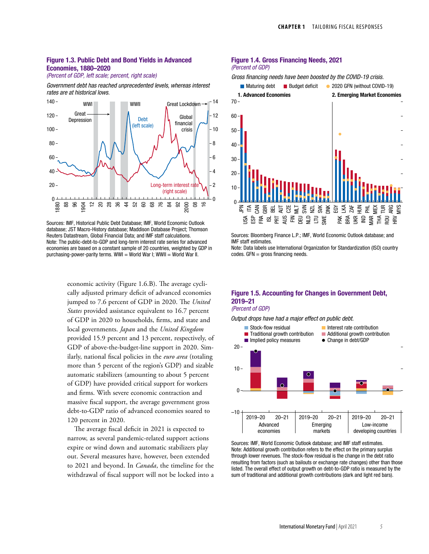### Figure 1.3. Public Debt and Bond Yields in Advanced Economies, 1880–2020

(Percent of GDP, left scale; percent, right scale)

Government debt has reached unprecedented levels, whereas interest rates are at historical lows.



Sources: IMF, Historical Public Debt Database; IMF, World Economic Outlook database; JST Macro-History database; Maddison Database Project; Thomson Reuters Datastream, Global Financial Data; and IMF staff calculations. Note: The public-debt-to-GDP and long-term interest rate series for advanced economies are based on a constant sample of 20 countries, weighted by GDP in purchasing-power-parity terms. WWI = World War I; WWII = World War II.

economic activity (Figure 1.6.B). The average cyclically adjusted primary deficit of advanced economies jumped to 7.6 percent of GDP in 2020. The *United States* provided assistance equivalent to 16.7 percent of GDP in 2020 to households, firms, and state and local governments. *Japan* and the *United Kingdom* provided 15.9 percent and 13 percent, respectively, of GDP of above-the-budget-line support in 2020. Similarly, national fiscal policies in the *euro area* (totaling more than 5 percent of the region's GDP) and sizable automatic stabilizers (amounting to about 5 percent of GDP) have provided critical support for workers and firms. With severe economic contraction and massive fiscal support, the average government gross debt-to-GDP ratio of advanced economies soared to 120 percent in 2020.

The average fiscal deficit in 2021 is expected to narrow, as several pandemic-related support actions expire or wind down and automatic stabilizers play out. Several measures have, however, been extended to 2021 and beyond. In *Canada*, the timeline for the withdrawal of fiscal support will not be locked into a

### Figure 1.4. Gross Financing Needs, 2021

(Percent of GDP)

Gross financing needs have been boosted by the COVID-19 crisis.



Sources: Bloomberg Finance L.P.; IMF, World Economic Outlook database; and IMF staff estimates.

Note: Data labels use International Organization for Standardization (ISO) country codes. GFN = gross financing needs.

# Figure 1.5. Accounting for Changes in Government Debt, 2019–21

(Percent of GDP)

Output drops have had a major effect on public debt.



Sources: IMF, World Economic Outlook database; and IMF staff estimates. Note: Additional growth contribution refers to the effect on the primary surplus through lower revenues. The stock-flow residual is the change in the debt ratio resulting from factors (such as bailouts or exchange rate changes) other than those listed. The overall effect of output growth on debt-to-GDP ratio is measured by the sum of traditional and additional growth contributions (dark and light red bars).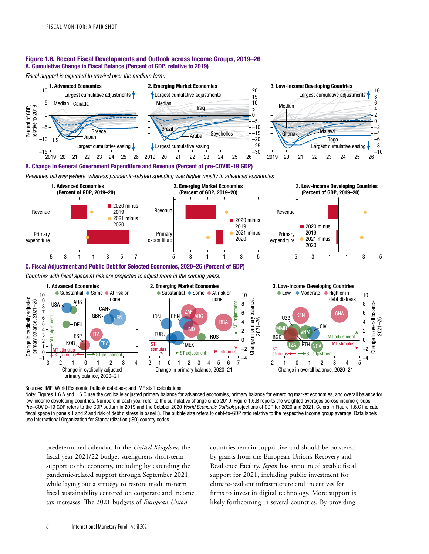### Figure 1.6. Recent Fiscal Developments and Outlook across Income Groups, 2019–26 A. Cumulative Change in Fiscal Balance (Percent of GDP, relative to 2019)

Fiscal support is expected to unwind over the medium term.







#### B. Change in General Government Expenditure and Revenue (Percent of pre-COVID-19 GDP)

Revenues fell everywhere, whereas pandemic-related spending was higher mostly in advanced economies.



#### Change in cyclically adjusted<br>primary balance, 2021–26 Change in cyclically adjusted primary balance, 2021–26 Change in primary balance, Change in overall balance, MT adjustment adjustmen 2021–26 2021–26 4 4 RR/ 5 DEU **CIV**  $\sum_{-2}$   $\equiv$   $\sum_{\alpha}$   $\equiv$  MMR 4 2 2 VNM  $3 ESP$   $\begin{bmatrix} \text{ITA} \end{bmatrix}$   $\begin{bmatrix} - & \text{TUR} \end{bmatrix}$ ITA MT adjustment RUS BGD  $2 - \overline{\ge}$  $\overline{0}$ 0 Change Change KOR FRA MEX **MT stimulus**  $ST -$ stimulus ÈTH **NG**  $1 -$ –2 ST –2 MT stimulus  $\Omega$ ST adjustment MT stimulus stimulus  $ST$  stimulus  $\leftarrow$   $\rightarrow$   $ST$  adjustment –1 –4 –4 –3 –2 –1 0 1 2 3 4 –2 –1 0 1 2 3 4 5 6 7 –2 –1 0 1 2 3 4 5 Change in cyclically adjusted Change in primary balance, 2020–21 Change in overall balance, 2020–21 primary balance, 2020–21

Sources: IMF, World Economic Outlook database; and IMF staff calculations.

Note: Figures 1.6.A and 1.6.C use the cyclically adjusted primary balance for advanced economies, primary balance for emerging market economies, and overall balance for low-income developing countries. Numbers in each year refer to the cumulative change since 2019. Figure 1.6.B reports the weighted averages across income groups. Pre-COVID-19 GDP refers to the GDP outturn in 2019 and the October 2020 World Economic Outlook projections of GDP for 2020 and 2021. Colors in Figure 1.6.C indicate fiscal space in panels 1 and 2 and risk of debt distress in panel 3. The bubble size refers to debt-to-GDP ratio relative to the respective income group average. Data labels use International Organization for Standardization (ISO) country codes.

predetermined calendar. In the *United Kingdom*, the fiscal year 2021/22 budget strengthens short-term support to the economy, including by extending the pandemic-related support through September 2021, while laying out a strategy to restore medium-term fiscal sustainability centered on corporate and income tax increases. The 2021 budgets of *European Union*

countries remain supportive and should be bolstered by grants from the European Union's Recovery and Resilience Facility. *Japan* has announced sizable fiscal support for 2021, including public investment for climate-resilient infrastructure and incentives for firms to invest in digital technology. More support is likely forthcoming in several countries. By providing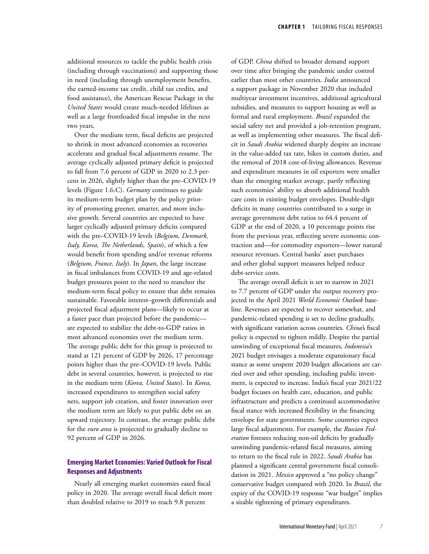additional resources to tackle the public health crisis (including through vaccinations) and supporting those in need (including through unemployment benefits, the earned-income tax credit, child tax credits, and food assistance), the American Rescue Package in the *United States* would create much-needed lifelines as well as a large frontloaded fiscal impulse in the next two years.

Over the medium term, fiscal deficits are projected to shrink in most advanced economies as recoveries accelerate and gradual fiscal adjustments resume. The average cyclically adjusted primary deficit is projected to fall from 7.6 percent of GDP in 2020 to 2.3 percent in 2026, slightly higher than the pre–COVID-19 levels (Figure 1.6.C). *Germany* continues to guide its medium-term budget plan by the policy priority of promoting greener, smarter, and more inclusive growth. Several countries are expected to have larger cyclically adjusted primary deficits compared with the pre–COVID-19 levels (*Belgium, Denmark, Italy, Korea, The Netherlands, Spain*), of which a few would benefit from spending and/or revenue reforms (*Belgium, France, Italy*). In *Japan*, the large increase in fiscal imbalances from COVID-19 and age-related budget pressures point to the need to reanchor the medium-term fiscal policy to ensure that debt remains sustainable. Favorable interest–growth differentials and projected fiscal adjustment plans—likely to occur at a faster pace than projected before the pandemic are expected to stabilize the debt-to-GDP ratios in most advanced economies over the medium term. The average public debt for this group is projected to stand at 121 percent of GDP by 2026, 17 percentage points higher than the pre–COVID-19 levels. Public debt in several countries, however, is projected to rise in the medium term (*Korea, United States*). In *Korea*, increased expenditures to strengthen social safety nets, support job creation, and foster innovation over the medium term are likely to put public debt on an upward trajectory. In contrast, the average public debt for the *euro area* is projected to gradually decline to 92 percent of GDP in 2026*.*

# **Emerging Market Economies: Varied Outlook for Fiscal Responses and Adjustments**

Nearly all emerging market economies eased fiscal policy in 2020. The average overall fiscal deficit more than doubled relative to 2019 to reach 9.8 percent

of GDP. *China* shifted to broader demand support over time after bringing the pandemic under control earlier than most other countries. *India* announced a support package in November 2020 that included multiyear investment incentives, additional agricultural subsidies, and measures to support housing as well as formal and rural employment. *Brazil* expanded the social safety net and provided a job-retention program, as well as implementing other measures. The fiscal deficit in *Saudi Arabia* widened sharply despite an increase in the value-added tax rate, hikes in custom duties, and the removal of 2018 cost-of-living allowances. Revenue and expenditure measures in oil exporters were smaller than the emerging market average, partly reflecting such economies' ability to absorb additional health care costs in existing budget envelopes. Double-digit deficits in many countries contributed to a surge in average government debt ratios to 64.4 percent of GDP at the end of 2020, a 10 percentage points rise from the previous year, reflecting severe economic contraction and—for commodity exporters—lower natural resource revenues. Central banks' asset purchases and other global support measures helped reduce debt-service costs.

The average overall deficit is set to narrow in 2021 to 7.7 percent of GDP under the output recovery projected in the April 2021 *World Economic Outlook* baseline. Revenues are expected to recover somewhat, and pandemic-related spending is set to decline gradually, with significant variation across countries. *China'*s fiscal policy is expected to tighten mildly. Despite the partial unwinding of exceptional fiscal measures, *Indonesia*'s 2021 budget envisages a moderate expansionary fiscal stance as some unspent 2020 budget allocations are carried over and other spending, including public investment, is expected to increase. India's fiscal year 2021/22 budget focuses on health care, education, and public infrastructure and predicts a continued accommodative fiscal stance with increased flexibility in the financing envelope for state governments. Some countries expect large fiscal adjustments. For example, the *Russian Federation* foresees reducing non-oil deficits by gradually unwinding pandemic-related fiscal measures, aiming to return to the fiscal rule in 2022. *Saudi Arabia* has planned a significant central government fiscal consolidation in 2021. *Mexico* approved a "no policy change" conservative budget compared with 2020. In *Brazil*, the expiry of the COVID-19 response "war budget" implies a sizable tightening of primary expenditures.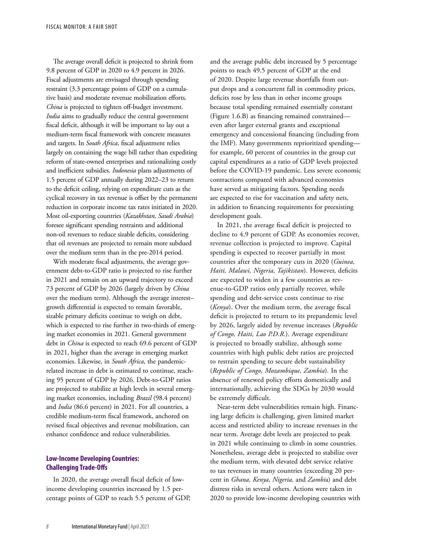The average overall deficit is projected to shrink from 9.8 percent of GDP in 2020 to 4.9 percent in 2026. Fiscal adjustments are envisaged through spending restraint (3.3 percentage points of GDP on a cumulative basis) and moderate revenue mobilization efforts. *China* is projected to tighten off-budget investment. *India* aims to gradually reduce the central government fiscal deficit, although it will be important to lay out a medium-term fiscal framework with concrete measures and targets. In *South Africa*, fiscal adjustment relies largely on containing the wage bill rather than expediting reform of state-owned enterprises and rationalizing costly and inefficient subsidies. *Indonesia* plans adjustments of 1.5 percent of GDP annually during 2022–23 to return to the deficit ceiling, relying on expenditure cuts as the cyclical recovery in tax revenue is offset by the permanent reduction in corporate income tax rates initiated in 2020. Most oil-exporting countries (*Kazakhstan, Saudi Arabia*) foresee significant spending restraints and additional non-oil revenues to reduce sizable deficits, considering that oil revenues are projected to remain more subdued over the medium term than in the pre-2014 period.

With moderate fiscal adjustments, the average government debt-to-GDP ratio is projected to rise further in 2021 and remain on an upward trajectory to exceed 73 percent of GDP by 2026 (largely driven by *China* over the medium term). Although the average interest– growth differential is expected to remain favorable, sizable primary deficits continue to weigh on debt, which is expected to rise further in two-thirds of emerging market economies in 2021. General government debt in *China* is expected to reach 69.6 percent of GDP in 2021, higher than the average in emerging market economies. Likewise, in *South Africa*, the pandemicrelated increase in debt is estimated to continue, reaching 95 percent of GDP by 2026. Debt-to-GDP ratios are projected to stabilize at high levels in several emerging market economies, including *Brazil* (98.4 percent) and *India* (86.6 percent) in 2021. For all countries, a credible medium-term fiscal framework, anchored on revised fiscal objectives and revenue mobilization, can enhance confidence and reduce vulnerabilities.

# **Low-Income Developing Countries: Challenging Trade-Offs**

In 2020, the average overall fiscal deficit of lowincome developing countries increased by 1.5 percentage points of GDP to reach 5.5 percent of GDP, and the average public debt increased by 5 percentage points to reach 49.5 percent of GDP at the end of 2020. Despite large revenue shortfalls from output drops and a concurrent fall in commodity prices, deficits rose by less than in other income groups because total spending remained essentially constant (Figure 1.6.B) as financing remained constrained even after larger external grants and exceptional emergency and concessional financing (including from the IMF). Many governments reprioritized spending for example, 60 percent of countries in the group cut capital expenditures as a ratio of GDP levels projected before the COVID-19 pandemic. Less severe economic contractions compared with advanced economies have served as mitigating factors. Spending needs are expected to rise for vaccination and safety nets, in addition to financing requirements for preexisting development goals.

In 2021, the average fiscal deficit is projected to decline to 4.9 percent of GDP. As economies recover, revenue collection is projected to improve. Capital spending is expected to recover partially in most countries after the temporary cuts in 2020 (*Guinea, Haiti, Malawi, Nigeria, Tajikistan*). However, deficits are expected to widen in a few countries as revenue-to-GDP ratios only partially recover, while spending and debt-service costs continue to rise (*Kenya*). Over the medium term, the average fiscal deficit is projected to return to its prepandemic level by 2026, largely aided by revenue increases (*Republic of Congo, Haiti, Lao P.D.R.*). Average expenditure is projected to broadly stabilize, although some countries with high public debt ratios are projected to restrain spending to secure debt sustainability (*Republic of Congo, Mozambique, Zambia*)*.* In the absence of renewed policy efforts domestically and internationally, achieving the SDGs by 2030 would be extremely difficult.

Near-term debt vulnerabilities remain high. Financing large deficits is challenging, given limited market access and restricted ability to increase revenues in the near term. Average debt levels are projected to peak in 2021 while continuing to climb in some countries. Nonetheless, average debt is projected to stabilize over the medium term, with elevated debt service relative to tax revenues in many countries (exceeding 20 percent in *Ghana, Kenya, Nigeria,* and *Zambi*a) and debt distress risks in several others. Actions were taken in 2020 to provide low-income developing countries with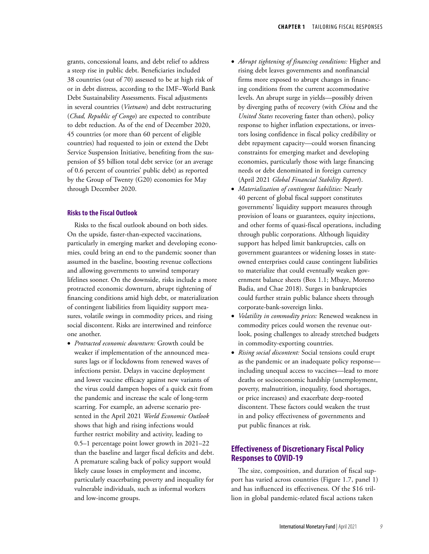grants, concessional loans, and debt relief to address a steep rise in public debt. Beneficiaries included 38 countries (out of 70) assessed to be at high risk of or in debt distress, according to the IMF–World Bank Debt Sustainability Assessments. Fiscal adjustments in several countries (*Vietnam*) and debt restructuring (*Chad, Republic of Congo*) are expected to contribute to debt reduction. As of the end of December 2020, 45 countries (or more than 60 percent of eligible countries) had requested to join or extend the Debt Service Suspension Initiative, benefiting from the suspension of \$5 billion total debt service (or an average of 0.6 percent of countries' public debt) as reported by the Group of Twenty (G20) economies for May through December 2020.

# **Risks to the Fiscal Outlook**

Risks to the fiscal outlook abound on both sides. On the upside, faster-than-expected vaccinations, particularly in emerging market and developing economies, could bring an end to the pandemic sooner than assumed in the baseline, boosting revenue collections and allowing governments to unwind temporary lifelines sooner. On the downside, risks include a more protracted economic downturn, abrupt tightening of financing conditions amid high debt, or materialization of contingent liabilities from liquidity support measures, volatile swings in commodity prices, and rising social discontent. Risks are intertwined and reinforce one another.

• *Protracted economic downturn:* Growth could be weaker if implementation of the announced measures lags or if lockdowns from renewed waves of infections persist. Delays in vaccine deployment and lower vaccine efficacy against new variants of the virus could dampen hopes of a quick exit from the pandemic and increase the scale of long-term scarring. For example, an adverse scenario presented in the April 2021 *World Economic Outlook* shows that high and rising infections would further restrict mobility and activity, leading to 0.5–1 percentage point lower growth in 2021–22 than the baseline and larger fiscal deficits and debt. A premature scaling back of policy support would likely cause losses in employment and income, particularly exacerbating poverty and inequality for vulnerable individuals, such as informal workers and low-income groups.

- *Abrupt tightening of financing conditions:* Higher and rising debt leaves governments and nonfinancial firms more exposed to abrupt changes in financing conditions from the current accommodative levels. An abrupt surge in yields—possibly driven by diverging paths of recovery (with *China* and the *United States* recovering faster than others), policy response to higher inflation expectations, or investors losing confidence in fiscal policy credibility or debt repayment capacity—could worsen financing constraints for emerging market and developing economies, particularly those with large financing needs or debt denominated in foreign currency (April 2021 *Global Financial Stability Report*).
- *Materialization of contingent liabilities:* Nearly 40 percent of global fiscal support constitutes governments' liquidity support measures through provision of loans or guarantees, equity injections, and other forms of quasi-fiscal operations, including through public corporations. Although liquidity support has helped limit bankruptcies, calls on government guarantees or widening losses in stateowned enterprises could cause contingent liabilities to materialize that could eventually weaken government balance sheets (Box 1.1; Mbaye, Moreno Badia, and Chae 2018). Surges in bankruptcies could further strain public balance sheets through corporate-bank-sovereign links.
- *Volatility in commodity prices:* Renewed weakness in commodity prices could worsen the revenue outlook, posing challenges to already stretched budgets in commodity-exporting countries.
- *Rising social discontent:* Social tensions could erupt as the pandemic or an inadequate policy response including unequal access to vaccines—lead to more deaths or socioeconomic hardship (unemployment, poverty, malnutrition, inequality, food shortages, or price increases) and exacerbate deep-rooted discontent. These factors could weaken the trust in and policy effectiveness of governments and put public finances at risk.

# **Effectiveness of Discretionary Fiscal Policy Responses to COVID-19**

The size, composition, and duration of fiscal support has varied across countries (Figure 1.7, panel 1) and has influenced its effectiveness. Of the \$16 trillion in global pandemic-related fiscal actions taken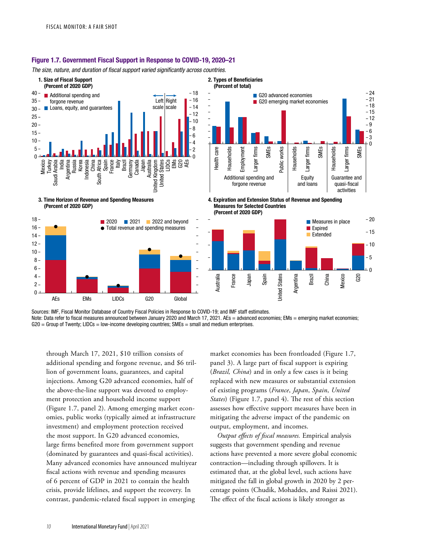### Figure 1.7. Government Fiscal Support in Response to COVID-19, 2020–21

The size, nature, and duration of fiscal support varied significantly across countries.



Sources: IMF, Fiscal Monitor Database of Country Fiscal Policies in Response to COVID-19; and IMF staff estimates. Note: Data refer to fiscal measures announced between January 2020 and March 17, 2021. AEs = advanced economies; EMs = emerging market economies;  $G20 = Group$  of Twenty; LIDCs = low-income developing countries; SMEs = small and medium enterprises.

through March 17, 2021, \$10 trillion consists of additional spending and forgone revenue, and \$6 trillion of government loans, guarantees, and capital injections. Among G20 advanced economies, half of the above-the-line support was devoted to employment protection and household income support (Figure 1.7, panel 2). Among emerging market economies, public works (typically aimed at infrastructure investment) and employment protection received the most support. In G20 advanced economies, large firms benefited more from government support (dominated by guarantees and quasi-fiscal activities). Many advanced economies have announced multiyear fiscal actions with revenue and spending measures of 6 percent of GDP in 2021 to contain the health crisis, provide lifelines, and support the recovery. In contrast, pandemic-related fiscal support in emerging

market economies has been frontloaded (Figure 1.7, panel 3). A large part of fiscal support is expiring (*Brazil, China*) and in only a few cases is it being replaced with new measures or substantial extension of existing programs (*France*, *Japan*, *Spain*, *United States*) (Figure 1.7, panel 4). The rest of this section assesses how effective support measures have been in mitigating the adverse impact of the pandemic on output, employment, and incomes.

*Output effects of fiscal measures.* Empirical analysis suggests that government spending and revenue actions have prevented a more severe global economic contraction—including through spillovers. It is estimated that, at the global level, such actions have mitigated the fall in global growth in 2020 by 2 percentage points (Chudik, Mohaddes, and Raissi 2021). The effect of the fiscal actions is likely stronger as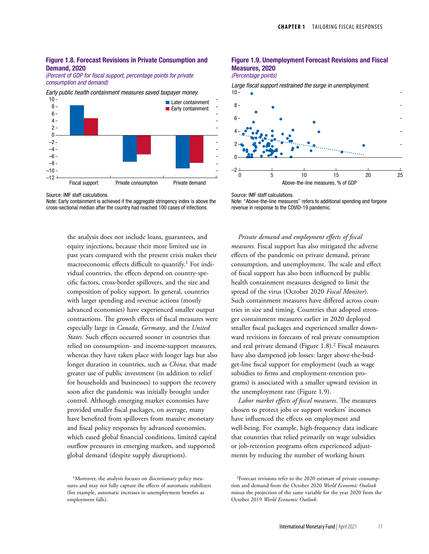#### Figure 1.8. Forecast Revisions in Private Consumption and Demand, 2020

(Percent of GDP for fiscal support; percentage points for private consumption and demand)

Early public health containment measures saved taxpayer money.



Source: IMF staff calculations.

Note: Early containment is achieved if the aggregate stringency index is above the cross-sectional median after the country had reached 100 cases of infections.

> the analysis does not include loans, guarantees, and equity injections, because their more limited use in past years compared with the present crisis makes their macroeconomic effects difficult to quantify.<sup>1</sup> For individual countries, the effects depend on country-specific factors, cross-border spillovers, and the size and composition of policy support. In general, countries with larger spending and revenue actions (mostly advanced economies) have experienced smaller output contractions. The growth effects of fiscal measures were especially large in *Canada*, *Germany*, and the *United States.* Such effects occurred sooner in countries that relied on consumption- and income-support measures, whereas they have taken place with longer lags but also longer duration in countries, such as *China*, that made greater use of public investment (in addition to relief for households and businesses) to support the recovery soon after the pandemic was initially brought under control. Although emerging market economies have provided smaller fiscal packages, on average, many have benefited from spillovers from massive monetary and fiscal policy responses by advanced economies, which eased global financial conditions, limited capital outflow pressures in emerging markets, and supported global demand (despite supply disruptions).

# Figure 1.9. Unemployment Forecast Revisions and Fiscal Measures, 2020



Large fiscal support restrained the surge in unemployment.



Source: IMF staff calculations.

Note: "Above-the-line measures" refers to additional spending and forgone revenue in response to the COVID-19 pandemic.

*Private demand and employment effects of fiscal measures.* Fiscal support has also mitigated the adverse effects of the pandemic on private demand, private consumption, and unemployment. The scale and effect of fiscal support has also been influenced by public health containment measures designed to limit the spread of the virus (October 2020 *Fiscal Monitor*). Such containment measures have differed across countries in size and timing. Countries that adopted stronger containment measures earlier in 2020 deployed smaller fiscal packages and experienced smaller downward revisions in forecasts of real private consumption and real private demand (Figure 1.8).2 Fiscal measures have also dampened job losses: larger above-the-budget-line fiscal support for employment (such as wage subsidies to firms and employment-retention programs) is associated with a smaller upward revision in the unemployment rate (Figure 1.9).

*Labor market effects of fiscal measures.* The measures chosen to protect jobs or support workers' incomes have influenced the effects on employment and well-being. For example, high-frequency data indicate that countries that relied primarily on wage subsidies or job-retention programs often experienced adjustments by reducing the number of working hours

<sup>&</sup>lt;sup>1</sup>Moreover, the analysis focuses on discretionary policy measures and may not fully capture the effects of automatic stabilizers (for example, automatic increases in unemployment benefits as employment falls).

<sup>2</sup>Forecast revisions refer to the 2020 estimate of private consumption and demand from the October 2020 *World Economic Outlook* minus the projection of the same variable for the year 2020 from the October 2019 *World Economic Outlook*.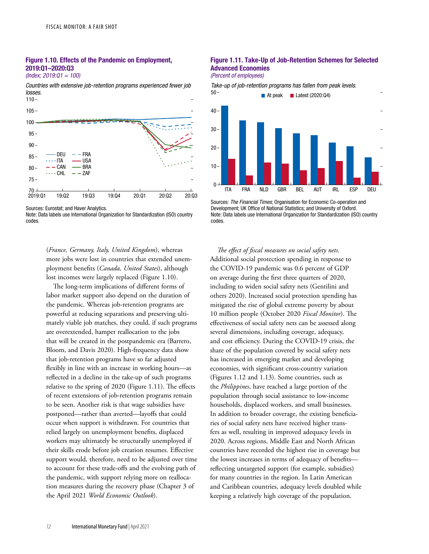# Figure 1.10. Effects of the Pandemic on Employment, 2019:Q1–2020:Q3

*(Index; 2019:Q1 = 100)*

*Countries with extensive job-retention programs experienced fewer job losses.*



Sources: Eurostat; and Haver Analytics.

Note: Data labels use International Organization for Standardization (ISO) country codes.

> (*France, Germany, Italy, United Kingdom*), whereas more jobs were lost in countries that extended unemployment benefits (*Canada, United States*), although lost incomes were largely replaced (Figure 1.10).

The long-term implications of different forms of labor market support also depend on the duration of the pandemic. Whereas job-retention programs are powerful at reducing separations and preserving ultimately viable job matches, they could, if such programs are overextended, hamper reallocation to the jobs that will be created in the postpandemic era (Barrero, Bloom, and Davis 2020). High-frequency data show that job-retention programs have so far adjusted flexibly in line with an increase in working hours—as reflected in a decline in the take-up of such programs relative to the spring of 2020 (Figure 1.11). The effects of recent extensions of job-retention programs remain to be seen. Another risk is that wage subsidies have postponed—rather than averted—layoffs that could occur when support is withdrawn. For countries that relied largely on unemployment benefits, displaced workers may ultimately be structurally unemployed if their skills erode before job creation resumes. Effective support would, therefore, need to be adjusted over time to account for these trade-offs and the evolving path of the pandemic, with support relying more on reallocation measures during the recovery phase (Chapter 3 of the April 2021 *World Economic Outlook*).

# Figure 1.11. Take-Up of Job-Retention Schemes for Selected Advanced Economies



Take-up of job-retention programs has fallen from peak levels.



Sources: The Financial Times; Organisation for Economic Co-operation and Development; UK Office of National Statistics; and University of Oxford. Note: Data labels use International Organization for Standardization (ISO) country codes.

*The effect of fiscal measures on social safety nets.*  Additional social protection spending in response to the COVID-19 pandemic was 0.6 percent of GDP on average during the first three quarters of 2020, including to widen social safety nets (Gentilini and others 2020). Increased social protection spending has mitigated the rise of global extreme poverty by about 10 million people (October 2020 *Fiscal Monitor*). The effectiveness of social safety nets can be assessed along several dimensions, including coverage, adequacy, and cost efficiency. During the COVID-19 crisis, the share of the population covered by social safety nets has increased in emerging market and developing economies, with significant cross-country variation (Figures 1.12 and 1.13). Some countries, such as the *Philippines*, have reached a large portion of the population through social assistance to low-income households, displaced workers, and small businesses. In addition to broader coverage, the existing beneficiaries of social safety nets have received higher transfers as well, resulting in improved adequacy levels in 2020. Across regions, Middle East and North African countries have recorded the highest rise in coverage but the lowest increases in terms of adequacy of benefits reflecting untargeted support (for example, subsidies) for many countries in the region. In Latin American and Caribbean countries, adequacy levels doubled while keeping a relatively high coverage of the population.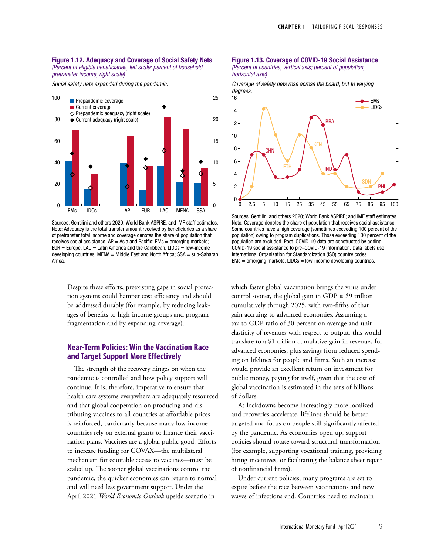#### Figure 1.12. Adequacy and Coverage of Social Safety Nets (Percent of eligible beneficiaries, left scale; percent of household pretransfer income, right scale)

*Social safety nets expanded during the pandemic.*



Sources: Gentilini and others 2020; World Bank ASPIRE; and IMF staff estimates. Note: Adequacy is the total transfer amount received by beneficiaries as a share of pretransfer total income and coverage denotes the share of population that receives social assistance.  $AP = Asia$  and Pacific;  $EMs = emerging$  markets;  $EUR = Europe$ ; LAC = Latin America and the Caribbean; LIDCs = low-income developing countries; MENA = Middle East and North Africa; SSA = sub-Saharan Africa.

Despite these efforts, preexisting gaps in social protection systems could hamper cost efficiency and should be addressed durably (for example, by reducing leakages of benefits to high-income groups and program fragmentation and by expanding coverage).

# **Near-Term Policies: Win the Vaccination Race and Target Support More Effectively**

The strength of the recovery hinges on when the pandemic is controlled and how policy support will continue. It is, therefore, imperative to ensure that health care systems everywhere are adequately resourced and that global cooperation on producing and distributing vaccines to all countries at affordable prices is reinforced, particularly because many low-income countries rely on external grants to finance their vaccination plans. Vaccines are a global public good. Efforts to increase funding for COVAX—the multilateral mechanism for equitable access to vaccines—must be scaled up. The sooner global vaccinations control the pandemic, the quicker economies can return to normal and will need less government support. Under the April 2021 *World Economic Outlook* upside scenario in

#### Figure 1.13. Coverage of COVID-19 Social Assistance *(Percent of countries, vertical axis; percent of population, horizontal axis)*

*Coverage of safety nets rose across the board, but to varying degrees.*



Sources: Gentilini and others 2020; World Bank ASPIRE; and IMF staff estimates. Note: Coverage denotes the share of population that receives social assistance. Some countries have a high coverage (sometimes exceeding 100 percent of the population) owing to program duplications. Those exceeding 100 percent of the population are excluded. Post–COVID-19 data are constructed by adding COVID-19 social assistance to pre–COVID-19 information. Data labels use International Organization for Standardization (ISO) country codes. EMs = emerging markets; LIDCs = low-income developing countries.

which faster global vaccination brings the virus under control sooner, the global gain in GDP is \$9 trillion cumulatively through 2025, with two-fifths of that gain accruing to advanced economies. Assuming a tax-to-GDP ratio of 30 percent on average and unit elasticity of revenues with respect to output, this would translate to a \$1 trillion cumulative gain in revenues for advanced economies, plus savings from reduced spending on lifelines for people and firms. Such an increase would provide an excellent return on investment for public money, paying for itself, given that the cost of global vaccination is estimated in the tens of billions of dollars.

As lockdowns become increasingly more localized and recoveries accelerate, lifelines should be better targeted and focus on people still significantly affected by the pandemic. As economies open up, support policies should rotate toward structural transformation (for example, supporting vocational training, providing hiring incentives, or facilitating the balance sheet repair of nonfinancial firms).

Under current policies, many programs are set to expire before the race between vaccinations and new waves of infections end. Countries need to maintain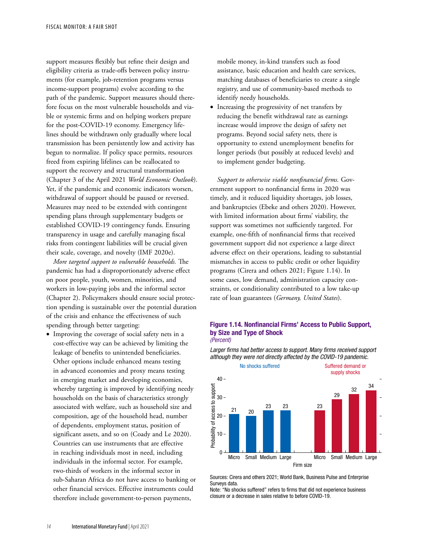support measures flexibly but refine their design and eligibility criteria as trade-offs between policy instruments (for example, job-retention programs versus income-support programs) evolve according to the path of the pandemic. Support measures should therefore focus on the most vulnerable households and viable or systemic firms and on helping workers prepare for the post-COVID-19 economy. Emergency lifelines should be withdrawn only gradually where local transmission has been persistently low and activity has begun to normalize. If policy space permits, resources freed from expiring lifelines can be reallocated to support the recovery and structural transformation (Chapter 3 of the April 2021 *World Economic Outlook*). Yet, if the pandemic and economic indicators worsen, withdrawal of support should be paused or reversed. Measures may need to be extended with contingent spending plans through supplementary budgets or established COVID-19 contingency funds. Ensuring transparency in usage and carefully managing fiscal risks from contingent liabilities will be crucial given their scale, coverage, and novelty (IMF 2020e).

*More targeted support to vulnerable households.* The pandemic has had a disproportionately adverse effect on poor people, youth, women, minorities, and workers in low-paying jobs and the informal sector (Chapter 2). Policymakers should ensure social protection spending is sustainable over the potential duration of the crisis and enhance the effectiveness of such spending through better targeting:

• Improving the coverage of social safety nets in a cost-effective way can be achieved by limiting the leakage of benefits to unintended beneficiaries. Other options include enhanced means testing in advanced economies and proxy means testing in emerging market and developing economies, whereby targeting is improved by identifying needy households on the basis of characteristics strongly associated with welfare, such as household size and composition, age of the household head, number of dependents, employment status, position of significant assets, and so on (Coady and Le 2020). Countries can use instruments that are effective in reaching individuals most in need, including individuals in the informal sector. For example, two-thirds of workers in the informal sector in sub-Saharan Africa do not have access to banking or other financial services. Effective instruments could therefore include government-to-person payments,

mobile money, in-kind transfers such as food assistance, basic education and health care services, matching databases of beneficiaries to create a single registry, and use of community-based methods to identify needy households.

• Increasing the progressivity of net transfers by reducing the benefit withdrawal rate as earnings increase would improve the design of safety net programs. Beyond social safety nets, there is opportunity to extend unemployment benefits for longer periods (but possibly at reduced levels) and to implement gender budgeting.

*Support to otherwise viable nonfinancial firms.* Government support to nonfinancial firms in 2020 was timely, and it reduced liquidity shortages, job losses, and bankruptcies (Ebeke and others 2020). However, with limited information about firms' viability, the support was sometimes not sufficiently targeted. For example, one-fifth of nonfinancial firms that received government support did not experience a large direct adverse effect on their operations, leading to substantial mismatches in access to public credit or other liquidity programs (Cirera and others 2021; Figure 1.14). In some cases, low demand, administration capacity constraints, or conditionality contributed to a low take-up rate of loan guarantees (*Germany, United States*).

#### Figure 1.14. Nonfinancial Firms' Access to Public Support, by Size and Type of Shock (Percent)

Larger firms had better access to support. Many firms received support although they were not directly affected by the COVID-19 pandemic.



Sources: Cirera and others 2021; World Bank, Business Pulse and Enterprise Surveys data.

Note: "No shocks suffered" refers to firms that did not experience business closure or a decrease in sales relative to before COVID-19.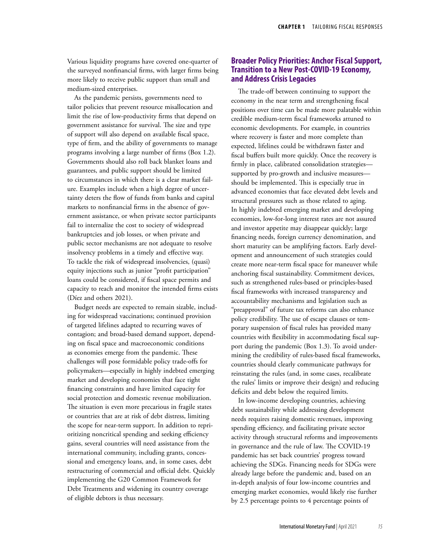Various liquidity programs have covered one-quarter of the surveyed nonfinancial firms, with larger firms being more likely to receive public support than small and medium-sized enterprises.

As the pandemic persists, governments need to tailor policies that prevent resource misallocation and limit the rise of low-productivity firms that depend on government assistance for survival. The size and type of support will also depend on available fiscal space, type of firm, and the ability of governments to manage programs involving a large number of firms (Box 1.2). Governments should also roll back blanket loans and guarantees, and public support should be limited to circumstances in which there is a clear market failure. Examples include when a high degree of uncertainty deters the flow of funds from banks and capital markets to nonfinancial firms in the absence of government assistance, or when private sector participants fail to internalize the cost to society of widespread bankruptcies and job losses, or when private and public sector mechanisms are not adequate to resolve insolvency problems in a timely and effective way. To tackle the risk of widespread insolvencies, (quasi) equity injections such as junior "profit participation" loans could be considered, if fiscal space permits and capacity to reach and monitor the intended firms exists (Díez and others 2021).

Budget needs are expected to remain sizable, including for widespread vaccinations; continued provision of targeted lifelines adapted to recurring waves of contagion; and broad-based demand support, depending on fiscal space and macroeconomic conditions as economies emerge from the pandemic. These challenges will pose formidable policy trade-offs for policymakers—especially in highly indebted emerging market and developing economies that face tight financing constraints and have limited capacity for social protection and domestic revenue mobilization. The situation is even more precarious in fragile states or countries that are at risk of debt distress, limiting the scope for near-term support. In addition to reprioritizing noncritical spending and seeking efficiency gains, several countries will need assistance from the international community, including grants, concessional and emergency loans, and, in some cases, debt restructuring of commercial and official debt. Quickly implementing the G20 Common Framework for Debt Treatments and widening its country coverage of eligible debtors is thus necessary.

# **Broader Policy Priorities: Anchor Fiscal Support, Transition to a New Post-COVID-19 Economy, and Address Crisis Legacies**

The trade-off between continuing to support the economy in the near term and strengthening fiscal positions over time can be made more palatable within credible medium-term fiscal frameworks attuned to economic developments. For example, in countries where recovery is faster and more complete than expected, lifelines could be withdrawn faster and fiscal buffers built more quickly. Once the recovery is firmly in place, calibrated consolidation strategies supported by pro-growth and inclusive measures should be implemented. This is especially true in advanced economies that face elevated debt levels and structural pressures such as those related to aging. In highly indebted emerging market and developing economies, low-for-long interest rates are not assured and investor appetite may disappear quickly; large financing needs, foreign currency denomination, and short maturity can be amplifying factors. Early development and announcement of such strategies could create more near-term fiscal space for maneuver while anchoring fiscal sustainability. Commitment devices, such as strengthened rules-based or principles-based fiscal frameworks with increased transparency and accountability mechanisms and legislation such as "preapproval" of future tax reforms can also enhance policy credibility. The use of escape clauses or temporary suspension of fiscal rules has provided many countries with flexibility in accommodating fiscal support during the pandemic (Box 1.3). To avoid undermining the credibility of rules-based fiscal frameworks, countries should clearly communicate pathways for reinstating the rules (and, in some cases, recalibrate the rules' limits or improve their design) and reducing deficits and debt below the required limits.

In low-income developing countries, achieving debt sustainability while addressing development needs requires raising domestic revenues, improving spending efficiency, and facilitating private sector activity through structural reforms and improvements in governance and the rule of law. The COVID-19 pandemic has set back countries' progress toward achieving the SDGs. Financing needs for SDGs were already large before the pandemic and, based on an in-depth analysis of four low-income countries and emerging market economies, would likely rise further by 2.5 percentage points to 4 percentage points of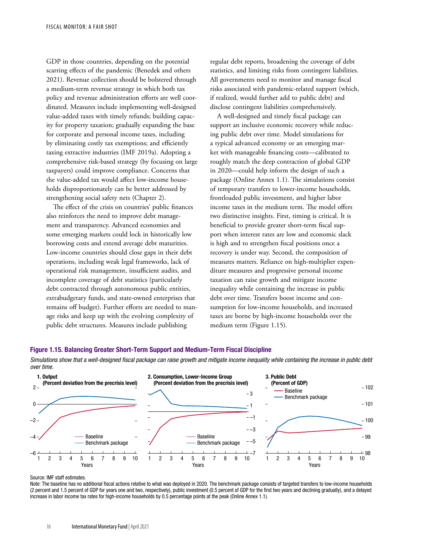GDP in those countries, depending on the potential scarring effects of the pandemic (Benedek and others 2021). Revenue collection should be bolstered through a medium-term revenue strategy in which both tax policy and revenue administration efforts are well coordinated. Measures include implementing well-designed value-added taxes with timely refunds; building capacity for property taxation; gradually expanding the base for corporate and personal income taxes, including by eliminating costly tax exemptions; and efficiently taxing extractive industries (IMF 2019a). Adopting a comprehensive risk-based strategy (by focusing on large taxpayers) could improve compliance. Concerns that the value-added tax would affect low-income households disproportionately can be better addressed by strengthening social safety nets (Chapter 2).

The effect of the crisis on countries' public finances also reinforces the need to improve debt management and transparency. Advanced economies and some emerging markets could lock in historically low borrowing costs and extend average debt maturities. Low-income countries should close gaps in their debt operations, including weak legal frameworks, lack of operational risk management, insufficient audits, and incomplete coverage of debt statistics (particularly debt contracted through autonomous public entities, extrabudgetary funds, and state-owned enterprises that remains off budget). Further efforts are needed to manage risks and keep up with the evolving complexity of public debt structures. Measures include publishing

regular debt reports, broadening the coverage of debt statistics, and limiting risks from contingent liabilities. All governments need to monitor and manage fiscal risks associated with pandemic-related support (which, if realized, would further add to public debt) and disclose contingent liabilities comprehensively.

A well-designed and timely fiscal package can support an inclusive economic recovery while reducing public debt over time. Model simulations for a typical advanced economy or an emerging market with manageable financing costs—calibrated to roughly match the deep contraction of global GDP in 2020—could help inform the design of such a package (Online Annex 1.1). The simulations consist of temporary transfers to lower-income households, frontloaded public investment, and higher labor income taxes in the medium term. The model offers two distinctive insights. First, timing is critical. It is beneficial to provide greater short-term fiscal support when interest rates are low and economic slack is high and to strengthen fiscal positions once a recovery is under way. Second, the composition of measures matters. Reliance on high-multiplier expenditure measures and progressive personal income taxation can raise growth and mitigate income inequality while containing the increase in public debt over time. Transfers boost income and consumption for low-income households, and increased taxes are borne by high-income households over the medium term (Figure 1.15).

### Figure 1.15. Balancing Greater Short-Term Support and Medium-Term Fiscal Discipline

Simulations show that a well-designed fiscal package can raise growth and mitigate income inequality while containing the increase in public debt over time.



#### Source: IMF staff estimates.

Note: The baseline has no additional fiscal actions relative to what was deployed in 2020. The benchmark package consists of targeted transfers to low-income households (2 percent and 1.5 percent of GDP for years one and two, respectively), public investment (0.5 percent of GDP for the first two years and declining gradually), and a delayed increase in labor income tax rates for high-income households by 0.5 percentage points at the peak (Online Annex 1.1).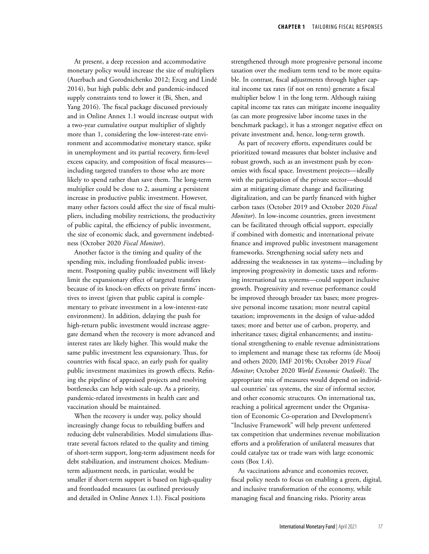At present, a deep recession and accommodative monetary policy would increase the size of multipliers (Auerbach and Gorodnichenko 2012; Erceg and Lindé 2014), but high public debt and pandemic-induced supply constraints tend to lower it (Bi, Shen, and Yang 2016). The fiscal package discussed previously and in Online Annex 1.1 would increase output with a two-year cumulative output multiplier of slightly more than 1, considering the low-interest-rate environment and accommodative monetary stance, spike in unemployment and its partial recovery, firm-level excess capacity, and composition of fiscal measures including targeted transfers to those who are more likely to spend rather than save them. The long-term multiplier could be close to 2, assuming a persistent increase in productive public investment. However, many other factors could affect the size of fiscal multipliers, including mobility restrictions, the productivity of public capital, the efficiency of public investment, the size of economic slack, and government indebtedness (October 2020 *Fiscal Monitor*).

Another factor is the timing and quality of the spending mix, including frontloaded public investment. Postponing quality public investment will likely limit the expansionary effect of targeted transfers because of its knock-on effects on private firms' incentives to invest (given that public capital is complementary to private investment in a low-interest-rate environment). In addition, delaying the push for high-return public investment would increase aggregate demand when the recovery is more advanced and interest rates are likely higher. This would make the same public investment less expansionary. Thus, for countries with fiscal space, an early push for quality public investment maximizes its growth effects. Refining the pipeline of appraised projects and resolving bottlenecks can help with scale-up. As a priority, pandemic-related investments in health care and vaccination should be maintained.

When the recovery is under way, policy should increasingly change focus to rebuilding buffers and reducing debt vulnerabilities. Model simulations illustrate several factors related to the quality and timing of short-term support, long-term adjustment needs for debt stabilization, and instrument choices. Mediumterm adjustment needs, in particular, would be smaller if short-term support is based on high-quality and frontloaded measures (as outlined previously and detailed in Online Annex 1.1). Fiscal positions

strengthened through more progressive personal income taxation over the medium term tend to be more equitable. In contrast, fiscal adjustments through higher capital income tax rates (if not on rents) generate a fiscal multiplier below 1 in the long term. Although raising capital income tax rates can mitigate income inequality (as can more progressive labor income taxes in the benchmark package), it has a stronger negative effect on private investment and, hence, long-term growth.

As part of recovery efforts, expenditures could be prioritized toward measures that bolster inclusive and robust growth, such as an investment push by economies with fiscal space. Investment projects—ideally with the participation of the private sector—should aim at mitigating climate change and facilitating digitalization, and can be partly financed with higher carbon taxes (October 2019 and October 2020 *Fiscal Monitor*). In low-income countries, green investment can be facilitated through official support, especially if combined with domestic and international private finance and improved public investment management frameworks. Strengthening social safety nets and addressing the weaknesses in tax systems—including by improving progressivity in domestic taxes and reforming international tax systems—could support inclusive growth. Progressivity and revenue performance could be improved through broader tax bases; more progressive personal income taxation; more neutral capital taxation; improvements in the design of value-added taxes; more and better use of carbon, property, and inheritance taxes; digital enhancements; and institutional strengthening to enable revenue administrations to implement and manage these tax reforms (de Mooij and others 2020; IMF 2019b; October 2019 *Fiscal Monitor*; October 2020 *World Economic Outlook*). The appropriate mix of measures would depend on individual countries' tax systems, the size of informal sector, and other economic structures. On international tax, reaching a political agreement under the Organisation of Economic Co-operation and Development's "Inclusive Framework" will help prevent unfettered tax competition that undermines revenue mobilization efforts and a proliferation of unilateral measures that could catalyze tax or trade wars with large economic costs (Box 1.4).

As vaccinations advance and economies recover, fiscal policy needs to focus on enabling a green, digital, and inclusive transformation of the economy, while managing fiscal and financing risks. Priority areas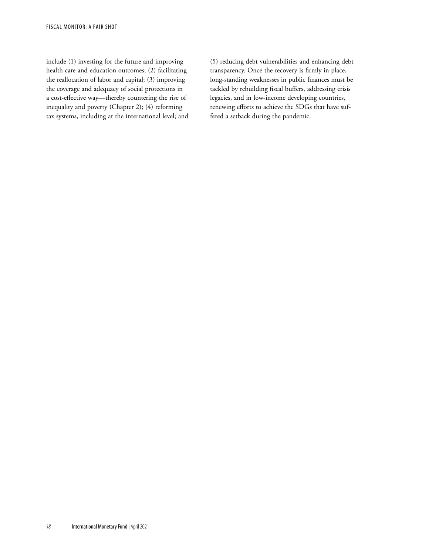include (1) investing for the future and improving health care and education outcomes; (2) facilitating the reallocation of labor and capital; (3) improving the coverage and adequacy of social protections in a cost-effective way—thereby countering the rise of inequality and poverty (Chapter 2); (4) reforming tax systems, including at the international level; and (5) reducing debt vulnerabilities and enhancing debt transparency. Once the recovery is firmly in place, long-standing weaknesses in public finances must be tackled by rebuilding fiscal buffers, addressing crisis legacies, and in low-income developing countries, renewing efforts to achieve the SDGs that have suffered a setback during the pandemic.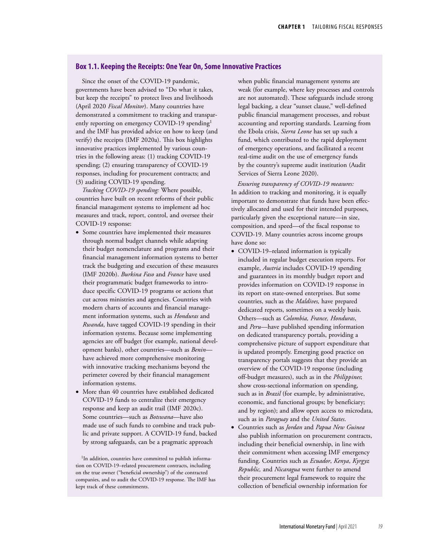### **Box 1.1. Keeping the Receipts: One Year On, Some Innovative Practices**

Since the onset of the COVID-19 pandemic, governments have been advised to "Do what it takes, but keep the receipts" to protect lives and livelihoods (April 2020 *Fiscal Monitor*). Many countries have demonstrated a commitment to tracking and transparently reporting on emergency COVID-19 spending<sup>1</sup> and the IMF has provided advice on how to keep (and verify) the receipts (IMF 2020a). This box highlights innovative practices implemented by various countries in the following areas: (1) tracking COVID-19 spending; (2) ensuring transparency of COVID-19 responses, including for procurement contracts; and (3) auditing COVID-19 spending.

*Tracking COVID-19 spending:* Where possible, countries have built on recent reforms of their public financial management systems to implement ad hoc measures and track, report, control, and oversee their COVID-19 response:

- Some countries have implemented their measures through normal budget channels while adapting their budget nomenclature and programs and their financial management information systems to better track the budgeting and execution of these measures (IMF 2020b). *Burkina Faso* and *France* have used their programmatic budget frameworks to introduce specific COVID-19 programs or actions that cut across ministries and agencies. Countries with modern charts of accounts and financial management information systems, such as *Honduras* and *Rwanda*, have tagged COVID-19 spending in their information systems. Because some implementing agencies are off budget (for example, national development banks), other countries—such as *Benin* have achieved more comprehensive monitoring with innovative tracking mechanisms beyond the perimeter covered by their financial management information systems.
- More than 40 countries have established dedicated COVID-19 funds to centralize their emergency response and keep an audit trail (IMF 2020c). Some countries—such as *Botswana*—have also made use of such funds to combine and track public and private support. A COVID-19 fund, backed by strong safeguards, can be a pragmatic approach

<sup>1</sup>In addition, countries have committed to publish information on COVID-19–related procurement contracts, including on the true owner ("beneficial ownership") of the contracted companies, and to audit the COVID-19 response. The IMF has kept track of these commitments.

when public financial management systems are weak (for example, where key processes and controls are not automated). These safeguards include strong legal backing, a clear "sunset clause," well-defined public financial management processes, and robust accounting and reporting standards. Learning from the Ebola crisis, *Sierra Leone* has set up such a fund, which contributed to the rapid deployment of emergency operations, and facilitated a recent real-time audit on the use of emergency funds by the country's supreme audit institution (Audit Services of Sierra Leone 2020).

*Ensuring transparency of COVID-19 measures:*  In addition to tracking and monitoring, it is equally important to demonstrate that funds have been effectively allocated and used for their intended purposes, particularly given the exceptional nature—in size, composition, and speed—of the fiscal response to COVID-19. Many countries across income groups have done so:

- COVID-19–related information is typically included in regular budget execution reports. For example, *Austria* includes COVID-19 spending and guarantees in its monthly budget report and provides information on COVID-19 response in its report on state-owned enterprises. But some countries, such as the *Maldives,* have prepared dedicated reports, sometimes on a weekly basis. Others—such as *Colombia, France, Honduras*, and *Peru*—have published spending information on dedicated transparency portals, providing a comprehensive picture of support expenditure that is updated promptly. Emerging good practice on transparency portals suggests that they provide an overview of the COVID-19 response (including off-budget measures), such as in the *Philippines*; show cross-sectional information on spending, such as in *Brazil* (for example, by administrative, economic, and functional groups; by beneficiary; and by region); and allow open access to microdata, such as in *Paraguay* and the *United States*.
- Countries such as *Jordan* and *Papua New Guinea* also publish information on procurement contracts, including their beneficial ownership, in line with their commitment when accessing IMF emergency funding. Countries such as *Ecuador*, *Kenya*, *Kyrgyz Republic,* and *Nicaragua* went further to amend their procurement legal framework to require the collection of beneficial ownership information for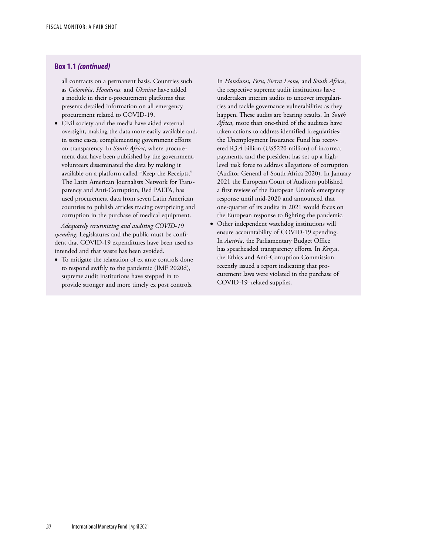# **Box 1.1** *(continued)*

all contracts on a permanent basis. Countries such as *Colombia*, *Honduras,* and *Ukraine* have added a module in their e-procurement platforms that presents detailed information on all emergency procurement related to COVID-19.

• Civil society and the media have aided external oversight, making the data more easily available and, in some cases, complementing government efforts on transparency. In *South Africa*, where procurement data have been published by the government, volunteers disseminated the data by making it available on a platform called "Keep the Receipts." The Latin American Journalists Network for Transparency and Anti-Corruption, Red PALTA, has used procurement data from seven Latin American countries to publish articles tracing overpricing and corruption in the purchase of medical equipment.

*Adequately scrutinizing and auditing COVID-19 spending:* Legislatures and the public must be confident that COVID-19 expenditures have been used as intended and that waste has been avoided.

• To mitigate the relaxation of ex ante controls done to respond swiftly to the pandemic (IMF 2020d), supreme audit institutions have stepped in to provide stronger and more timely ex post controls. In *Honduras, Peru, Sierra Leone*, and *South Africa*, the respective supreme audit institutions have undertaken interim audits to uncover irregularities and tackle governance vulnerabilities as they happen. These audits are bearing results. In *South Africa*, more than one-third of the auditees have taken actions to address identified irregularities; the Unemployment Insurance Fund has recovered R3.4 billion (US\$220 million) of incorrect payments, and the president has set up a highlevel task force to address allegations of corruption (Auditor General of South Africa 2020). In January 2021 the European Court of Auditors published a first review of the European Union's emergency response until mid-2020 and announced that one-quarter of its audits in 2021 would focus on the European response to fighting the pandemic.

• Other independent watchdog institutions will ensure accountability of COVID-19 spending. In *Austria*, the Parliamentary Budget Office has spearheaded transparency efforts. In *Kenya*, the Ethics and Anti-Corruption Commission recently issued a report indicating that procurement laws were violated in the purchase of COVID-19–related supplies.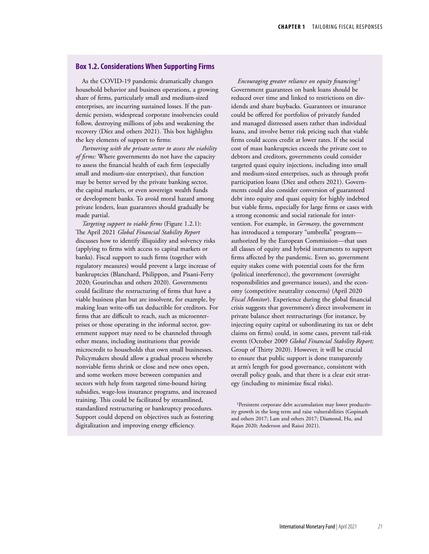### **Box 1.2. Considerations When Supporting Firms**

As the COVID-19 pandemic dramatically changes household behavior and business operations, a growing share of firms, particularly small and medium-sized enterprises, are incurring sustained losses. If the pandemic persists, widespread corporate insolvencies could follow, destroying millions of jobs and weakening the recovery (Díez and others 2021). This box highlights the key elements of support to firms:

*Partnering with the private sector to assess the viability of firms:* Where governments do not have the capacity to assess the financial health of each firm (especially small and medium-size enterprises), that function may be better served by the private banking sector, the capital markets, or even sovereign wealth funds or development banks. To avoid moral hazard among private lenders, loan guarantees should gradually be made partial.

*Targeting support to viable firms* (Figure 1.2.1): The April 2021 *Global Financial Stability Report* discusses how to identify illiquidity and solvency risks (applying to firms with access to capital markets or banks). Fiscal support to such firms (together with regulatory measures) would prevent a large increase of bankruptcies (Blanchard, Philippon, and Pisani-Ferry 2020; Gourinchas and others 2020). Governments could facilitate the restructuring of firms that have a viable business plan but are insolvent, for example, by making loan write-offs tax deductible for creditors. For firms that are difficult to reach, such as microenterprises or those operating in the informal sector, government support may need to be channeled through other means, including institutions that provide microcredit to households that own small businesses. Policymakers should allow a gradual process whereby nonviable firms shrink or close and new ones open, and some workers move between companies and sectors with help from targeted time-bound hiring subsidies, wage-loss insurance programs, and increased training. This could be facilitated by streamlined, standardized restructuring or bankruptcy procedures. Support could depend on objectives such as fostering digitalization and improving energy efficiency.

*Encouraging greater reliance on equity financing:*<sup>1</sup> Government guarantees on bank loans should be reduced over time and linked to restrictions on dividends and share buybacks. Guarantees or insurance could be offered for portfolios of privately funded and managed distressed assets rather than individual loans, and involve better risk pricing such that viable firms could access credit at lower rates. If the social cost of mass bankruptcies exceeds the private cost to debtors and creditors, governments could consider targeted quasi equity injections, including into small and medium-sized enterprises, such as through profit participation loans (Díez and others 2021). Governments could also consider conversion of guaranteed debt into equity and quasi equity for highly indebted but viable firms, especially for large firms or cases with a strong economic and social rationale for intervention. For example, in *Germany*, the government has introduced a temporary "umbrella" program authorized by the European Commission—that uses all classes of equity and hybrid instruments to support firms affected by the pandemic. Even so, government equity stakes come with potential costs for the firm (political interference), the government (oversight responsibilities and governance issues), and the economy (competitive neutrality concerns) (April 2020 *Fiscal Monitor*). Experience during the global financial crisis suggests that government's direct involvement in private balance sheet restructurings (for instance, by injecting equity capital or subordinating its tax or debt claims on firms) could, in some cases, prevent tail-risk events (October 2009 *Global Financial Stability Report;* Group of Thirty 2020). However, it will be crucial to ensure that public support is done transparently at arm's length for good governance, consistent with overall policy goals, and that there is a clear exit strategy (including to minimize fiscal risks).

<sup>&</sup>lt;sup>1</sup>Persistent corporate debt accumulation may lower productivity growth in the long term and raise vulnerabilities (Gopinath and others 2017; Lam and others 2017; Diamond, Hu, and Rajan 2020; Anderson and Raissi 2021).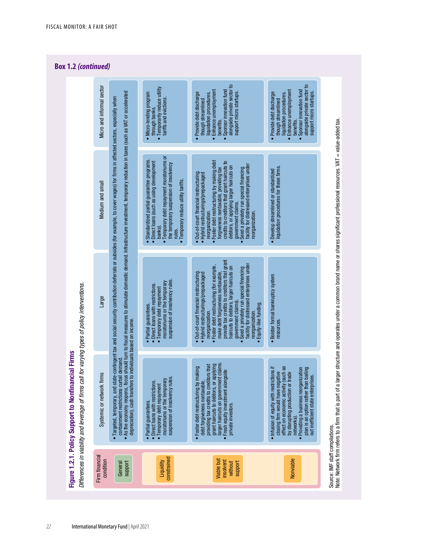# **Box 1.2** *(continued)*



*22* International Monetary Fund | April 2021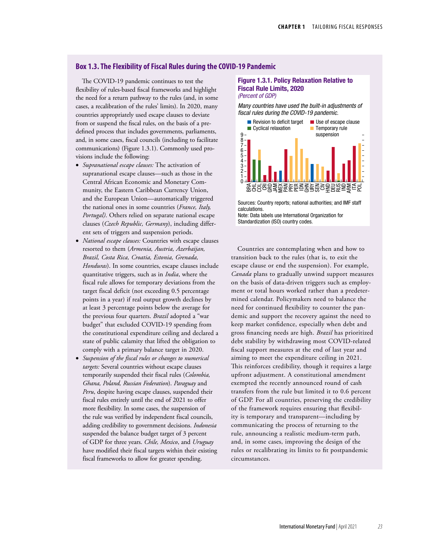### **Box 1.3. The Flexibility of Fiscal Rules during the COVID-19 Pandemic**

The COVID-19 pandemic continues to test the flexibility of rules-based fiscal frameworks and highlight the need for a return pathway to the rules (and, in some cases, a recalibration of the rules' limits). In 2020, many countries appropriately used escape clauses to deviate from or suspend the fiscal rules, on the basis of a predefined process that includes governments, parliaments, and, in some cases, fiscal councils (including to facilitate communications) (Figure 1.3.1). Commonly used provisions include the following:

- *Supranational escape clauses:* The activation of supranational escape clauses—such as those in the Central African Economic and Monetary Community, the Eastern Caribbean Currency Union, and the European Union—automatically triggered the national ones in some countries (*France, Italy, Portugal)*. Others relied on separate national escape clauses (*Czech Republic, Germany*), including different sets of triggers and suspension periods.
- *National escape clauses:* Countries with escape clauses resorted to them (*Armenia, Austria, Azerbaijan, Brazil, Costa Rica, Croatia, Estonia, Grenada, Honduras*). In some countries, escape clauses include quantitative triggers, such as in *India*, where the fiscal rule allows for temporary deviations from the target fiscal deficit (not exceeding 0.5 percentage points in a year) if real output growth declines by at least 3 percentage points below the average for the previous four quarters. *Brazil* adopted a "war budget" that excluded COVID-19 spending from the constitutional expenditure ceiling and declared a state of public calamity that lifted the obligation to comply with a primary balance target in 2020.
- *Suspension of the fiscal rules or changes to numerical targets:* Several countries without escape clauses temporarily suspended their fiscal rules (*Colombia, Ghana, Poland, Russian Federation*). *Paraguay* and *Peru*, despite having escape clauses, suspended their fiscal rules entirely until the end of 2021 to offer more flexibility. In some cases, the suspension of the rule was verified by independent fiscal councils, adding credibility to government decisions. *Indonesia* suspended the balance budget target of 3 percent of GDP for three years. *Chile, Mexico*, and *Uruguay* have modified their fiscal targets within their existing fiscal frameworks to allow for greater spending.

#### Figure 1.3.1. Policy Relaxation Relative to Fiscal Rule Limits, 2020 *(Percent of GDP)*

*Many countries have used the built-in adjustments of*  fiscal rules during the COVID-19 pandemic.



Sources: Country reports; national authorities; and IMF staff calculations. Note: Data labels use International Organization for Standardization (ISO) country codes.

Countries are contemplating when and how to transition back to the rules (that is, to exit the escape clause or end the suspension). For example, *Canada* plans to gradually unwind support measures on the basis of data-driven triggers such as employment or total hours worked rather than a predetermined calendar. Policymakers need to balance the need for continued flexibility to counter the pandemic and support the recovery against the need to keep market confidence, especially when debt and gross financing needs are high. *Brazil* has prioritized debt stability by withdrawing most COVID-related fiscal support measures at the end of last year and aiming to meet the expenditure ceiling in 2021. This reinforces credibility, though it requires a large upfront adjustment. A constitutional amendment exempted the recently announced round of cash transfers from the rule but limited it to 0.6 percent of GDP. For all countries, preserving the credibility of the framework requires ensuring that flexibility is temporary and transparent—including by communicating the process of returning to the rule, announcing a realistic medium-term path, and, in some cases, improving the design of the rules or recalibrating its limits to fit postpandemic circumstances.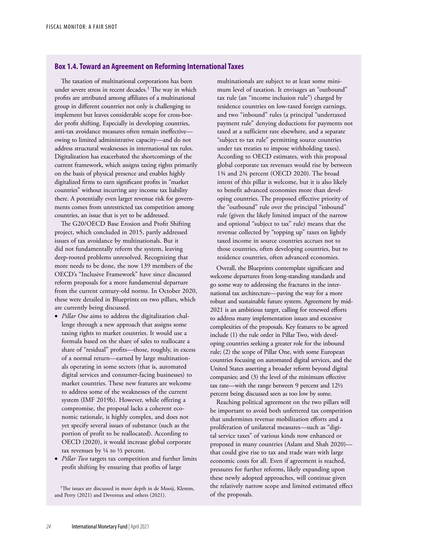# **Box 1.4. Toward an Agreement on Reforming International Taxes**

The taxation of multinational corporations has been under severe stress in recent decades.<sup>1</sup> The way in which profits are attributed among affiliates of a multinational group in different countries not only is challenging to implement but leaves considerable scope for cross-border profit shifting. Especially in developing countries, anti-tax avoidance measures often remain ineffective owing to limited administrative capacity—and do not address structural weaknesses in international tax rules. Digitalization has exacerbated the shortcomings of the current framework, which assigns taxing rights primarily on the basis of physical presence and enables highly digitalized firms to earn significant profits in "market countries" without incurring any income tax liability there. A potentially even larger revenue risk for governments comes from unrestricted tax competition among countries, an issue that is yet to be addressed.

The G20/OECD Base Erosion and Profit Shifting project, which concluded in 2015, partly addressed issues of tax avoidance by multinationals. But it did not fundamentally reform the system, leaving deep-rooted problems unresolved. Recognizing that more needs to be done, the now 139 members of the OECD's "Inclusive Framework" have since discussed reform proposals for a more fundamental departure from the current century-old norms. In October 2020, these were detailed in Blueprints on two pillars, which are currently being discussed.

- *Pillar One* aims to address the digitalization challenge through a new approach that assigns some taxing rights to market countries. It would use a formula based on the share of sales to reallocate a share of "residual" profits—those, roughly, in excess of a normal return—earned by large multinationals operating in some sectors (that is, automated digital services and consumer-facing businesses) to market countries. These new features are welcome to address some of the weaknesses of the current system (IMF 2019b). However, while offering a compromise, the proposal lacks a coherent economic rationale, is highly complex, and does not yet specify several issues of substance (such as the portion of profit to be reallocated). According to OECD (2020), it would increase global corporate tax revenues by  $\frac{1}{4}$  to  $\frac{1}{2}$  percent.
- *Pillar Two* targets tax competition and further limits profit shifting by ensuring that profits of large

<sup>1</sup>The issues are discussed in more depth in de Mooij, Klemm, and Perry (2021) and Devereux and others (2021).

multinationals are subject to at least some minimum level of taxation. It envisages an "outbound" tax rule (an "income inclusion rule") charged by residence countries on low-taxed foreign earnings, and two "inbound" rules (a principal "undertaxed payment rule" denying deductions for payments not taxed at a sufficient rate elsewhere, and a separate "subject to tax rule" permitting source countries under tax treaties to impose withholding taxes). According to OECD estimates, with this proposal global corporate tax revenues would rise by between 1¾ and 2¾ percent (OECD 2020). The broad intent of this pillar is welcome, but it is also likely to benefit advanced economies more than developing countries. The proposed effective priority of the "outbound" rule over the principal "inbound" rule (given the likely limited impact of the narrow and optional "subject to tax" rule) means that the revenue collected by "topping up" taxes on lightly taxed income in source countries accrues not to those countries, often developing countries, but to residence countries, often advanced economies.

Overall, the Blueprints contemplate significant and welcome departures from long-standing standards and go some way to addressing the fractures in the international tax architecture—paving the way for a more robust and sustainable future system. Agreement by mid-2021 is an ambitious target, calling for renewed efforts to address many implementation issues and excessive complexities of the proposals. Key features to be agreed include (1) the rule order in Pillar Two, with developing countries seeking a greater role for the inbound rule; (2) the scope of Pillar One, with some European countries focusing on automated digital services, and the United States asserting a broader reform beyond digital companies; and (3) the level of the minimum effective tax rate—with the range between 9 percent and 12½ percent being discussed seen as too low by some.

Reaching political agreement on the two pillars will be important to avoid both unfettered tax competition that undermines revenue mobilization efforts and a proliferation of unilateral measures—such as "digital service taxes" of various kinds now enhanced or proposed in many countries (Aslam and Shah 2020) that could give rise to tax and trade wars with large economic costs for all. Even if agreement is reached, pressures for further reforms, likely expanding upon these newly adopted approaches, will continue given the relatively narrow scope and limited estimated effect of the proposals.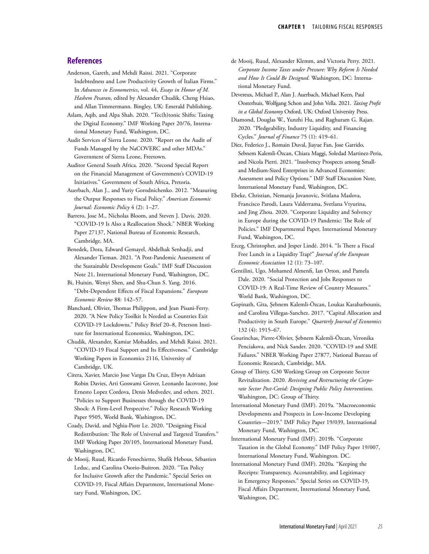### **References**

- Anderson, Gareth, and Mehdi Raissi. 2021. "Corporate Indebtedness and Low Productivity Growth of Italian Firms." In *Advances in Econometrics*, vol. 44, *Essays in Honor of M. Hashem Pesaran*, edited by Alexander Chudik, Cheng Hsiao, and Allan Timmermann. Bingley, UK: Emerald Publishing.
- Aslam, Aqib, and Alpa Shah. 2020. "Tec(h)tonic Shifts: Taxing the Digital Economy." IMF Working Paper 20/76, International Monetary Fund, Washington, DC.
- Audit Services of Sierra Leone. 2020. ["Report on the Audit of](https://www.auditservice.gov.sl/wp-content/uploads/2020/12/Report-on-the-Audit-of-Funds-managed-by-NaCOVERC-and-other-MDAs.-March-June-2020.pdf)  [Funds Managed by the NaCOVERC and other MDAs](https://www.auditservice.gov.sl/wp-content/uploads/2020/12/Report-on-the-Audit-of-Funds-managed-by-NaCOVERC-and-other-MDAs.-March-June-2020.pdf)." Government of Sierra Leone, Freetown.
- Auditor General South Africa. 2020. "Second Special Report on the Financial Management of Government's COVID-19 Initiatives." Government of South Africa, Pretoria.
- Auerbach, Alan J., and Yuriy Gorodnichenko. 2012. "Measuring the Output Responses to Fiscal Policy." *American Economic Journal: Economic Policy* 4 (2): 1–27.
- Barrero, Jose M., Nicholas Bloom, and Steven J. Davis. 2020. "COVID-19 Is Also a Reallocation Shock." NBER Working Paper 27137, National Bureau of Economic Research, Cambridge, MA.
- Benedek, Dora, Edward Gemayel, Abdelhak Senhadji, and Alexander Tieman. 2021. "A Post-Pandemic Assessment of the Sustainable Development Goals." IMF Staff Discussion Note 21, International Monetary Fund, Washington, DC.
- Bi, Huixin, Wenyi Shen, and Shu-Chun S. Yang. 2016. "Debt-Dependent Effects of Fiscal Expansions." *European Economic Review* 88: 142–57.
- Blanchard, Olivier, Thomas Philippon, and Jean Pisani-Ferry. 2020. "A New Policy Toolkit Is Needed as Countries Exit COVID-19 Lockdowns." Policy Brief 20–8, Peterson Institute for International Economics, Washington, DC.
- Chudik, Alexander, Kamiar Mohaddes, and Mehdi Raissi. 2021. "COVID-19 Fiscal Support and Its Effectiveness." Cambridge Working Papers in Economics 2116, University of Cambridge, UK.
- Cirera, Xavier, Marcio Jose Vargas Da Cruz, Elwyn Adriaan Robin Davies, Arti Goswami Grover, Leonardo Iacovone, Jose Ernesto Lopez Cordova, Denis Medvedev, and others. 2021. "Policies to Support Businesses through the COVID-19 Shock: A Firm-Level Perspective." Policy Research Working Paper 9505, World Bank, Washington, DC.
- Coady, David, and Nghia-Piotr Le. 2020. "Designing Fiscal Redistribution: The Role of Universal and Targeted Transfers." IMF Working Paper 20/105, International Monetary Fund, Washington, DC.
- de Mooij, Ruud, Ricardo Fenochietto, Shafik Hebous, Sébastien Leduc, and Carolina Osorio-Buitron. 2020. "Tax Policy for Inclusive Growth after the Pandemic." Special Series on COVID-19, Fiscal Affairs Department, International Monetary Fund, Washington, DC.
- de Mooij, Ruud, Alexander Klemm, and Victoria Perry. 2021. *Corporate Income Taxes under Pressure: Why Reform Is Needed and How It Could Be Designed*. Washington, DC: International Monetary Fund.
- Devereux, Michael P., Alan J. Auerbach, Michael Keen, Paul Oosterhuis, Wolfgang Schon and John Vella. 2021. *Taxing Profit in a Global Economy* Oxford, UK: Oxford University Press.
- Diamond, Douglas W., Yunzhi Hu, and Raghuram G. Rajan. 2020. "Pledgeability, Industry Liquidity, and Financing Cycles." *Journal of Finance* 75 (1): 419–61.

Díez, Federico J., Romain Duval, Jiayue Fan, Jose Garrido, Sebnem Kalemli-Özcan, Chiara Maggi, Soledad Martinez-Peria, and Nicola Pierri. 2021. "Insolvency Prospects among Smalland Medium-Sized Enterprises in Advanced Economies: Assessment and Policy Options." IMF Staff Discussion Note, International Monetary Fund, Washington, DC.

- Ebeke, Christian, Nemanja Jovanovic, Svitlana Maslova, Francisco Parodi, Laura Valderrama, Svetlana Vtyurina, and Jing Zhou. 2020. "Corporate Liquidity and Solvency in Europe during the COVID-19 Pandemic: The Role of Policies." IMF Departmental Paper, International Monetary Fund, Washington, DC.
- Erceg, Christopher, and Jesper Lindé. 2014. "Is There a Fiscal Free Lunch in a Liquidity Trap?" *Journal of the European Economic Association* 12 (1): 73–107.
- Gentilini, Ugo, Mohamed Almenfi, Ian Orton, and Pamela Dale. 2020. "Social Protection and Jobs Responses to COVID-19: A Real-Time Review of Country Measures." World Bank, Washington, DC.
- Gopinath, Gita, Şebnem Kalemli-Özcan, Loukas Karabarbounis, and Carolina Villegas-Sanchez. 2017. "Capital Allocation and Productivity in South Europe." *Quarterly Journal of Economics* 132 (4): 1915–67.
- Gourinchas, Pierre-Olivier, Şebnem Kalemli-Özcan, Veronika Penciakova, and Nick Sander. 2020. "COVID-19 and SME Failures." NBER Working Paper 27877, National Bureau of Economic Research, Cambridge, MA.
- Group of Thirty, G30 Working Group on Corporate Sector Revitalization. 2020. *Reviving and Restructuring the Corporate Sector Post-Covid: Designing Public Policy Interventions.* Washington, DC: Group of Thirty.
- International Monetary Fund (IMF). 2019a. "Macroeconomic Developments and Prospects in Low-Income Developing Countries—2019." IMF Policy Paper 19/039, International Monetary Fund, Washington, DC.
- International Monetary Fund (IMF). 2019b. "Corporate Taxation in the Global Economy." IMF Policy Paper 19/007, International Monetary Fund, Washington. DC.
- International Monetary Fund (IMF). 2020a. "Keeping the Receipts: Transparency, Accountability, and Legitimacy in Emergency Responses." Special Series on COVID-19, Fiscal Affairs Department, International Monetary Fund, Washington, DC.